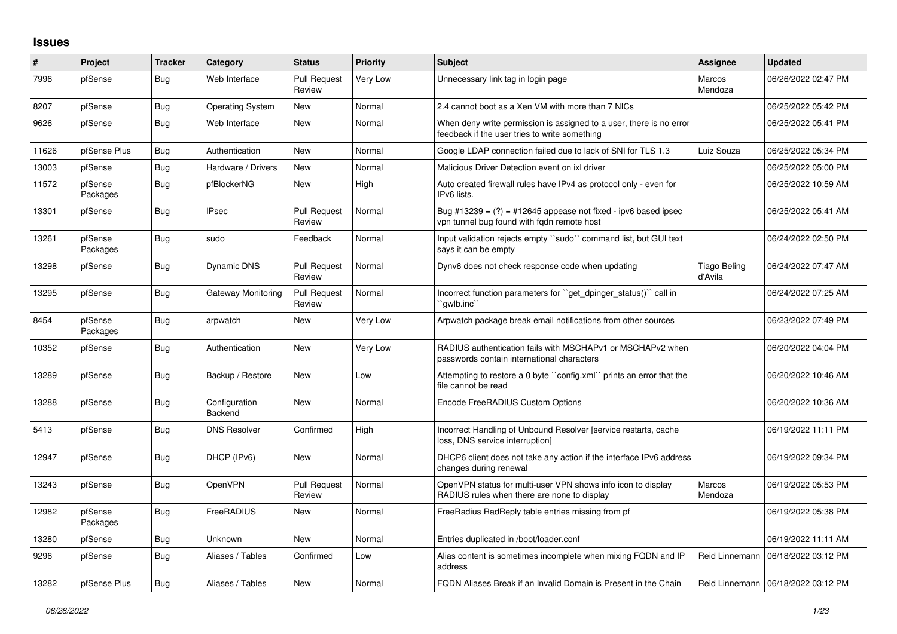## **Issues**

| #     | Project             | <b>Tracker</b> | Category                 | <b>Status</b>                 | <b>Priority</b> | <b>Subject</b>                                                                                                       | <b>Assignee</b>                | <b>Updated</b>                       |
|-------|---------------------|----------------|--------------------------|-------------------------------|-----------------|----------------------------------------------------------------------------------------------------------------------|--------------------------------|--------------------------------------|
| 7996  | pfSense             | <b>Bug</b>     | Web Interface            | <b>Pull Request</b><br>Review | Very Low        | Unnecessary link tag in login page                                                                                   | Marcos<br>Mendoza              | 06/26/2022 02:47 PM                  |
| 8207  | pfSense             | <b>Bug</b>     | Operating System         | New                           | Normal          | 2.4 cannot boot as a Xen VM with more than 7 NICs                                                                    |                                | 06/25/2022 05:42 PM                  |
| 9626  | pfSense             | <b>Bug</b>     | Web Interface            | <b>New</b>                    | Normal          | When deny write permission is assigned to a user, there is no error<br>feedback if the user tries to write something |                                | 06/25/2022 05:41 PM                  |
| 11626 | pfSense Plus        | <b>Bug</b>     | Authentication           | New                           | Normal          | Google LDAP connection failed due to lack of SNI for TLS 1.3                                                         | Luiz Souza                     | 06/25/2022 05:34 PM                  |
| 13003 | pfSense             | <b>Bug</b>     | Hardware / Drivers       | New                           | Normal          | Malicious Driver Detection event on ixl driver                                                                       |                                | 06/25/2022 05:00 PM                  |
| 11572 | pfSense<br>Packages | <b>Bug</b>     | pfBlockerNG              | <b>New</b>                    | High            | Auto created firewall rules have IPv4 as protocol only - even for<br>IPv6 lists.                                     |                                | 06/25/2022 10:59 AM                  |
| 13301 | pfSense             | <b>Bug</b>     | <b>IPsec</b>             | <b>Pull Request</b><br>Review | Normal          | Bug #13239 = $(?)$ = #12645 appease not fixed - ipv6 based ipsec<br>vpn tunnel bug found with fqdn remote host       |                                | 06/25/2022 05:41 AM                  |
| 13261 | pfSense<br>Packages | <b>Bug</b>     | sudo                     | Feedback                      | Normal          | Input validation rejects empty ``sudo`` command list, but GUI text<br>says it can be empty                           |                                | 06/24/2022 02:50 PM                  |
| 13298 | pfSense             | <b>Bug</b>     | Dynamic DNS              | <b>Pull Request</b><br>Review | Normal          | Dynv6 does not check response code when updating                                                                     | <b>Tiago Beling</b><br>d'Avila | 06/24/2022 07:47 AM                  |
| 13295 | pfSense             | <b>Bug</b>     | Gateway Monitoring       | <b>Pull Request</b><br>Review | Normal          | Incorrect function parameters for ``get_dpinger_status()`` call in<br>`qwlb.inc``                                    |                                | 06/24/2022 07:25 AM                  |
| 8454  | pfSense<br>Packages | <b>Bug</b>     | arpwatch                 | New                           | Very Low        | Arpwatch package break email notifications from other sources                                                        |                                | 06/23/2022 07:49 PM                  |
| 10352 | pfSense             | <b>Bug</b>     | Authentication           | <b>New</b>                    | Very Low        | RADIUS authentication fails with MSCHAPv1 or MSCHAPv2 when<br>passwords contain international characters             |                                | 06/20/2022 04:04 PM                  |
| 13289 | pfSense             | <b>Bug</b>     | Backup / Restore         | <b>New</b>                    | Low             | Attempting to restore a 0 byte "config.xml" prints an error that the<br>file cannot be read                          |                                | 06/20/2022 10:46 AM                  |
| 13288 | pfSense             | <b>Bug</b>     | Configuration<br>Backend | <b>New</b>                    | Normal          | Encode FreeRADIUS Custom Options                                                                                     |                                | 06/20/2022 10:36 AM                  |
| 5413  | pfSense             | <b>Bug</b>     | <b>DNS Resolver</b>      | Confirmed                     | High            | Incorrect Handling of Unbound Resolver [service restarts, cache<br>loss, DNS service interruption]                   |                                | 06/19/2022 11:11 PM                  |
| 12947 | pfSense             | <b>Bug</b>     | DHCP (IPv6)              | <b>New</b>                    | Normal          | DHCP6 client does not take any action if the interface IPv6 address<br>changes during renewal                        |                                | 06/19/2022 09:34 PM                  |
| 13243 | pfSense             | <b>Bug</b>     | OpenVPN                  | <b>Pull Request</b><br>Review | Normal          | OpenVPN status for multi-user VPN shows info icon to display<br>RADIUS rules when there are none to display          | Marcos<br>Mendoza              | 06/19/2022 05:53 PM                  |
| 12982 | pfSense<br>Packages | <b>Bug</b>     | FreeRADIUS               | New                           | Normal          | FreeRadius RadReply table entries missing from pf                                                                    |                                | 06/19/2022 05:38 PM                  |
| 13280 | pfSense             | <b>Bug</b>     | Unknown                  | <b>New</b>                    | Normal          | Entries duplicated in /boot/loader.conf                                                                              |                                | 06/19/2022 11:11 AM                  |
| 9296  | pfSense             | <b>Bug</b>     | Aliases / Tables         | Confirmed                     | Low             | Alias content is sometimes incomplete when mixing FQDN and IP<br>address                                             | Reid Linnemann                 | 06/18/2022 03:12 PM                  |
| 13282 | pfSense Plus        | Bug            | Aliases / Tables         | New                           | Normal          | FQDN Aliases Break if an Invalid Domain is Present in the Chain                                                      |                                | Reid Linnemann   06/18/2022 03:12 PM |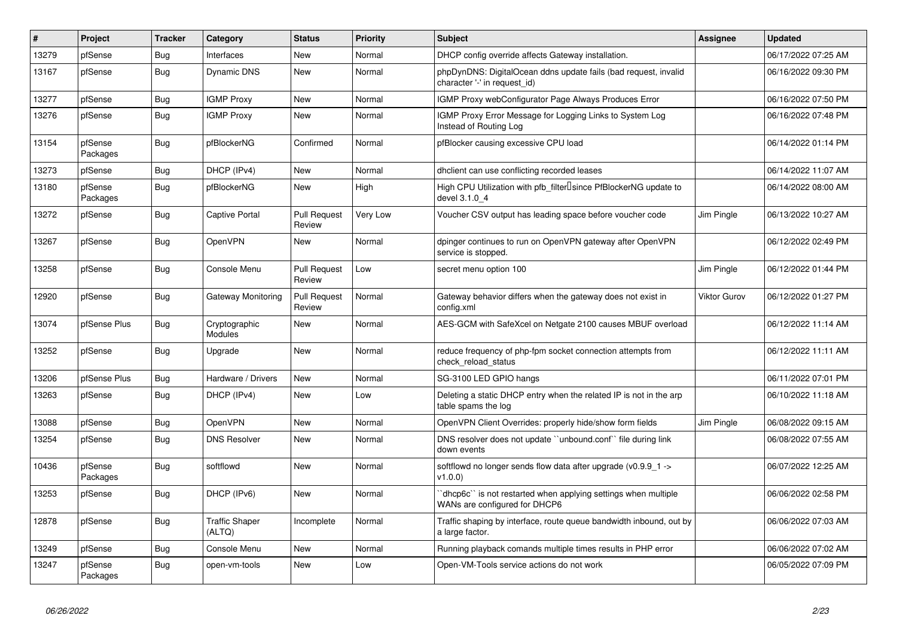| $\vert$ # | Project             | <b>Tracker</b> | Category                        | <b>Status</b>                 | <b>Priority</b> | Subject                                                                                          | <b>Assignee</b>     | <b>Updated</b>      |
|-----------|---------------------|----------------|---------------------------------|-------------------------------|-----------------|--------------------------------------------------------------------------------------------------|---------------------|---------------------|
| 13279     | pfSense             | <b>Bug</b>     | Interfaces                      | New                           | Normal          | DHCP config override affects Gateway installation.                                               |                     | 06/17/2022 07:25 AM |
| 13167     | pfSense             | <b>Bug</b>     | Dynamic DNS                     | <b>New</b>                    | Normal          | phpDynDNS: DigitalOcean ddns update fails (bad request, invalid<br>character '-' in request id)  |                     | 06/16/2022 09:30 PM |
| 13277     | pfSense             | <b>Bug</b>     | <b>IGMP Proxy</b>               | New                           | Normal          | IGMP Proxy webConfigurator Page Always Produces Error                                            |                     | 06/16/2022 07:50 PM |
| 13276     | pfSense             | <b>Bug</b>     | <b>IGMP Proxy</b>               | New                           | Normal          | IGMP Proxy Error Message for Logging Links to System Log<br>Instead of Routing Log               |                     | 06/16/2022 07:48 PM |
| 13154     | pfSense<br>Packages | Bug            | pfBlockerNG                     | Confirmed                     | Normal          | pfBlocker causing excessive CPU load                                                             |                     | 06/14/2022 01:14 PM |
| 13273     | pfSense             | <b>Bug</b>     | DHCP (IPv4)                     | New                           | Normal          | dhclient can use conflicting recorded leases                                                     |                     | 06/14/2022 11:07 AM |
| 13180     | pfSense<br>Packages | Bug            | pfBlockerNG                     | New                           | High            | High CPU Utilization with pfb_filter <sup>[</sup> since PfBlockerNG update to<br>devel 3.1.0 4   |                     | 06/14/2022 08:00 AM |
| 13272     | pfSense             | Bug            | Captive Portal                  | <b>Pull Request</b><br>Review | Very Low        | Voucher CSV output has leading space before voucher code                                         | Jim Pingle          | 06/13/2022 10:27 AM |
| 13267     | pfSense             | Bug            | OpenVPN                         | New                           | Normal          | dpinger continues to run on OpenVPN gateway after OpenVPN<br>service is stopped.                 |                     | 06/12/2022 02:49 PM |
| 13258     | pfSense             | <b>Bug</b>     | Console Menu                    | <b>Pull Request</b><br>Review | Low             | secret menu option 100                                                                           | Jim Pingle          | 06/12/2022 01:44 PM |
| 12920     | pfSense             | <b>Bug</b>     | Gateway Monitoring              | <b>Pull Request</b><br>Review | Normal          | Gateway behavior differs when the gateway does not exist in<br>config.xml                        | <b>Viktor Gurov</b> | 06/12/2022 01:27 PM |
| 13074     | pfSense Plus        | <b>Bug</b>     | Cryptographic<br><b>Modules</b> | New                           | Normal          | AES-GCM with SafeXcel on Netgate 2100 causes MBUF overload                                       |                     | 06/12/2022 11:14 AM |
| 13252     | pfSense             | Bug            | Upgrade                         | New                           | Normal          | reduce frequency of php-fpm socket connection attempts from<br>check reload status               |                     | 06/12/2022 11:11 AM |
| 13206     | pfSense Plus        | Bug            | Hardware / Drivers              | New                           | Normal          | SG-3100 LED GPIO hangs                                                                           |                     | 06/11/2022 07:01 PM |
| 13263     | pfSense             | Bug            | DHCP (IPv4)                     | <b>New</b>                    | Low             | Deleting a static DHCP entry when the related IP is not in the arp<br>table spams the log        |                     | 06/10/2022 11:18 AM |
| 13088     | pfSense             | <b>Bug</b>     | OpenVPN                         | New                           | Normal          | OpenVPN Client Overrides: properly hide/show form fields                                         | Jim Pingle          | 06/08/2022 09:15 AM |
| 13254     | pfSense             | <b>Bug</b>     | <b>DNS Resolver</b>             | New                           | Normal          | DNS resolver does not update "unbound.conf" file during link<br>down events                      |                     | 06/08/2022 07:55 AM |
| 10436     | pfSense<br>Packages | Bug            | softflowd                       | New                           | Normal          | softflowd no longer sends flow data after upgrade (v0.9.9_1 -><br>v1.0.0                         |                     | 06/07/2022 12:25 AM |
| 13253     | pfSense             | <b>Bug</b>     | DHCP (IPv6)                     | <b>New</b>                    | Normal          | 'dhcp6c'' is not restarted when applying settings when multiple<br>WANs are configured for DHCP6 |                     | 06/06/2022 02:58 PM |
| 12878     | pfSense             | <b>Bug</b>     | <b>Traffic Shaper</b><br>(ALTQ) | Incomplete                    | Normal          | Traffic shaping by interface, route queue bandwidth inbound, out by<br>a large factor.           |                     | 06/06/2022 07:03 AM |
| 13249     | pfSense             | <b>Bug</b>     | Console Menu                    | New                           | Normal          | Running playback comands multiple times results in PHP error                                     |                     | 06/06/2022 07:02 AM |
| 13247     | pfSense<br>Packages | Bug            | open-vm-tools                   | New                           | Low             | Open-VM-Tools service actions do not work                                                        |                     | 06/05/2022 07:09 PM |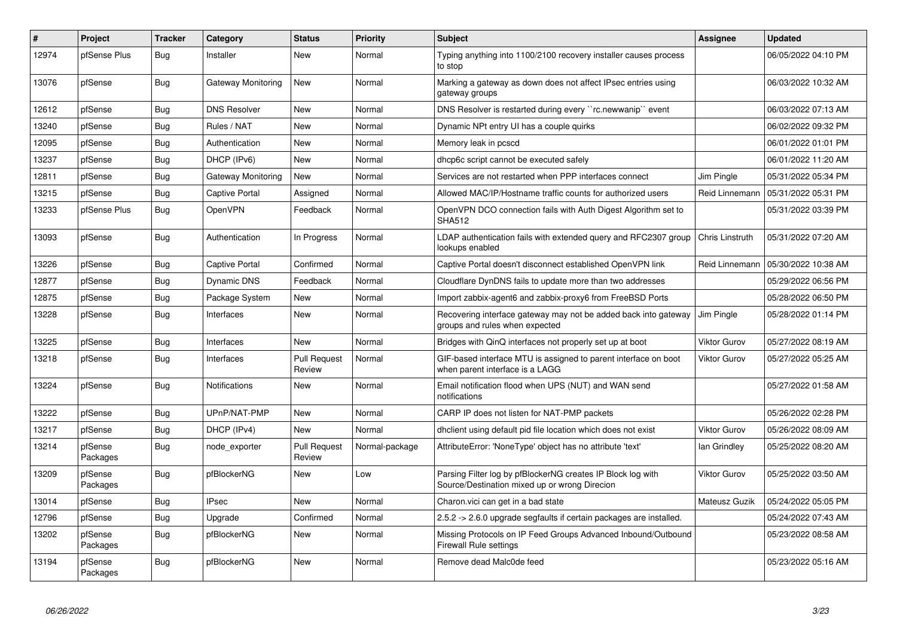| $\pmb{\#}$ | Project             | <b>Tracker</b> | Category            | <b>Status</b>                 | <b>Priority</b> | <b>Subject</b>                                                                                               | Assignee            | <b>Updated</b>      |
|------------|---------------------|----------------|---------------------|-------------------------------|-----------------|--------------------------------------------------------------------------------------------------------------|---------------------|---------------------|
| 12974      | pfSense Plus        | Bug            | Installer           | New                           | Normal          | Typing anything into 1100/2100 recovery installer causes process<br>to stop                                  |                     | 06/05/2022 04:10 PM |
| 13076      | pfSense             | Bug            | Gateway Monitoring  | New                           | Normal          | Marking a gateway as down does not affect IPsec entries using<br>gateway groups                              |                     | 06/03/2022 10:32 AM |
| 12612      | pfSense             | Bug            | <b>DNS Resolver</b> | New                           | Normal          | DNS Resolver is restarted during every "rc.newwanip" event                                                   |                     | 06/03/2022 07:13 AM |
| 13240      | pfSense             | Bug            | Rules / NAT         | New                           | Normal          | Dynamic NPt entry UI has a couple quirks                                                                     |                     | 06/02/2022 09:32 PM |
| 12095      | pfSense             | Bug            | Authentication      | New                           | Normal          | Memory leak in pcscd                                                                                         |                     | 06/01/2022 01:01 PM |
| 13237      | pfSense             | <b>Bug</b>     | DHCP (IPv6)         | New                           | Normal          | dhcp6c script cannot be executed safely                                                                      |                     | 06/01/2022 11:20 AM |
| 12811      | pfSense             | Bug            | Gateway Monitoring  | New                           | Normal          | Services are not restarted when PPP interfaces connect                                                       | Jim Pingle          | 05/31/2022 05:34 PM |
| 13215      | pfSense             | <b>Bug</b>     | Captive Portal      | Assigned                      | Normal          | Allowed MAC/IP/Hostname traffic counts for authorized users                                                  | Reid Linnemann      | 05/31/2022 05:31 PM |
| 13233      | pfSense Plus        | <b>Bug</b>     | OpenVPN             | Feedback                      | Normal          | OpenVPN DCO connection fails with Auth Digest Algorithm set to<br><b>SHA512</b>                              |                     | 05/31/2022 03:39 PM |
| 13093      | pfSense             | <b>Bug</b>     | Authentication      | In Progress                   | Normal          | LDAP authentication fails with extended query and RFC2307 group<br>lookups enabled                           | Chris Linstruth     | 05/31/2022 07:20 AM |
| 13226      | pfSense             | Bug            | Captive Portal      | Confirmed                     | Normal          | Captive Portal doesn't disconnect established OpenVPN link                                                   | Reid Linnemann      | 05/30/2022 10:38 AM |
| 12877      | pfSense             | Bug            | Dynamic DNS         | Feedback                      | Normal          | Cloudflare DynDNS fails to update more than two addresses                                                    |                     | 05/29/2022 06:56 PM |
| 12875      | pfSense             | <b>Bug</b>     | Package System      | New                           | Normal          | Import zabbix-agent6 and zabbix-proxy6 from FreeBSD Ports                                                    |                     | 05/28/2022 06:50 PM |
| 13228      | pfSense             | Bug            | Interfaces          | <b>New</b>                    | Normal          | Recovering interface gateway may not be added back into gateway<br>groups and rules when expected            | Jim Pingle          | 05/28/2022 01:14 PM |
| 13225      | pfSense             | <b>Bug</b>     | Interfaces          | New                           | Normal          | Bridges with QinQ interfaces not properly set up at boot                                                     | Viktor Gurov        | 05/27/2022 08:19 AM |
| 13218      | pfSense             | Bug            | Interfaces          | <b>Pull Request</b><br>Review | Normal          | GIF-based interface MTU is assigned to parent interface on boot<br>when parent interface is a LAGG           | <b>Viktor Gurov</b> | 05/27/2022 05:25 AM |
| 13224      | pfSense             | <b>Bug</b>     | Notifications       | New                           | Normal          | Email notification flood when UPS (NUT) and WAN send<br>notifications                                        |                     | 05/27/2022 01:58 AM |
| 13222      | pfSense             | <b>Bug</b>     | UPnP/NAT-PMP        | <b>New</b>                    | Normal          | CARP IP does not listen for NAT-PMP packets                                                                  |                     | 05/26/2022 02:28 PM |
| 13217      | pfSense             | <b>Bug</b>     | DHCP (IPv4)         | New                           | Normal          | dholient using default pid file location which does not exist                                                | <b>Viktor Gurov</b> | 05/26/2022 08:09 AM |
| 13214      | pfSense<br>Packages | Bug            | node_exporter       | <b>Pull Request</b><br>Review | Normal-package  | AttributeError: 'NoneType' object has no attribute 'text'                                                    | lan Grindley        | 05/25/2022 08:20 AM |
| 13209      | pfSense<br>Packages | <b>Bug</b>     | pfBlockerNG         | New                           | Low             | Parsing Filter log by pfBlockerNG creates IP Block log with<br>Source/Destination mixed up or wrong Direcion | <b>Viktor Gurov</b> | 05/25/2022 03:50 AM |
| 13014      | pfSense             | <b>Bug</b>     | <b>IPsec</b>        | New                           | Normal          | Charon.vici can get in a bad state                                                                           | Mateusz Guzik       | 05/24/2022 05:05 PM |
| 12796      | pfSense             | <b>Bug</b>     | Upgrade             | Confirmed                     | Normal          | 2.5.2 -> 2.6.0 upgrade segfaults if certain packages are installed.                                          |                     | 05/24/2022 07:43 AM |
| 13202      | pfSense<br>Packages | Bug            | pfBlockerNG         | <b>New</b>                    | Normal          | Missing Protocols on IP Feed Groups Advanced Inbound/Outbound<br><b>Firewall Rule settings</b>               |                     | 05/23/2022 08:58 AM |
| 13194      | pfSense<br>Packages | <b>Bug</b>     | pfBlockerNG         | <b>New</b>                    | Normal          | Remove dead Malc0de feed                                                                                     |                     | 05/23/2022 05:16 AM |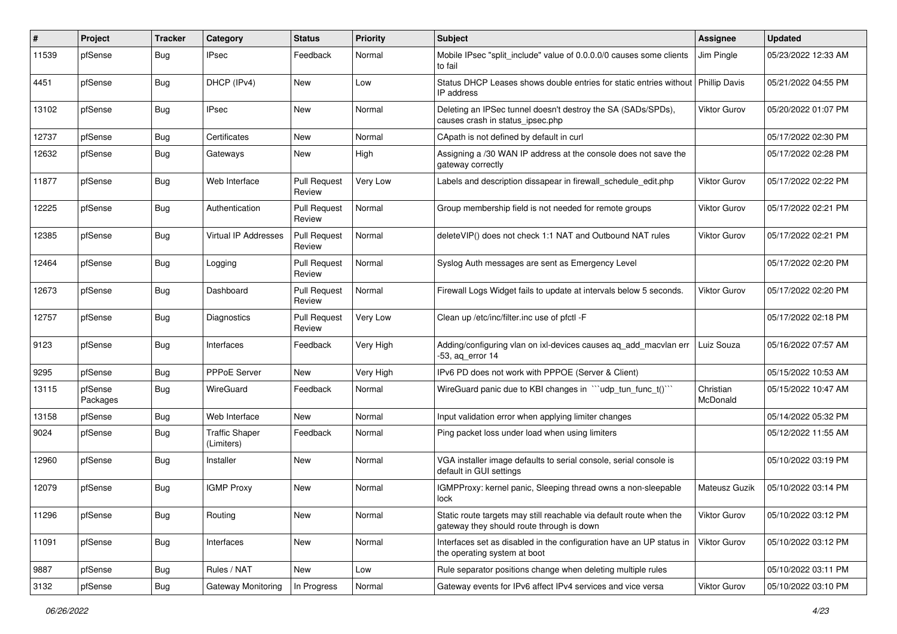| ∦     | Project             | <b>Tracker</b> | Category                            | <b>Status</b>                 | <b>Priority</b> | <b>Subject</b>                                                                                                   | <b>Assignee</b>       | <b>Updated</b>      |
|-------|---------------------|----------------|-------------------------------------|-------------------------------|-----------------|------------------------------------------------------------------------------------------------------------------|-----------------------|---------------------|
| 11539 | pfSense             | Bug            | IPsec                               | Feedback                      | Normal          | Mobile IPsec "split include" value of 0.0.0.0/0 causes some clients<br>to fail                                   | Jim Pingle            | 05/23/2022 12:33 AM |
| 4451  | pfSense             | Bug            | DHCP (IPv4)                         | New                           | Low             | Status DHCP Leases shows double entries for static entries without<br>IP address                                 | <b>Phillip Davis</b>  | 05/21/2022 04:55 PM |
| 13102 | pfSense             | <b>Bug</b>     | <b>IPsec</b>                        | <b>New</b>                    | Normal          | Deleting an IPSec tunnel doesn't destroy the SA (SADs/SPDs),<br>causes crash in status_ipsec.php                 | <b>Viktor Gurov</b>   | 05/20/2022 01:07 PM |
| 12737 | pfSense             | Bug            | Certificates                        | <b>New</b>                    | Normal          | CApath is not defined by default in curl                                                                         |                       | 05/17/2022 02:30 PM |
| 12632 | pfSense             | <b>Bug</b>     | Gateways                            | <b>New</b>                    | High            | Assigning a /30 WAN IP address at the console does not save the<br>gateway correctly                             |                       | 05/17/2022 02:28 PM |
| 11877 | pfSense             | Bug            | Web Interface                       | <b>Pull Request</b><br>Review | Very Low        | Labels and description dissapear in firewall schedule edit.php                                                   | <b>Viktor Gurov</b>   | 05/17/2022 02:22 PM |
| 12225 | pfSense             | Bug            | Authentication                      | <b>Pull Request</b><br>Review | Normal          | Group membership field is not needed for remote groups                                                           | <b>Viktor Gurov</b>   | 05/17/2022 02:21 PM |
| 12385 | pfSense             | Bug            | Virtual IP Addresses                | <b>Pull Request</b><br>Review | Normal          | deleteVIP() does not check 1:1 NAT and Outbound NAT rules                                                        | Viktor Gurov          | 05/17/2022 02:21 PM |
| 12464 | pfSense             | <b>Bug</b>     | Logging                             | <b>Pull Request</b><br>Review | Normal          | Syslog Auth messages are sent as Emergency Level                                                                 |                       | 05/17/2022 02:20 PM |
| 12673 | pfSense             | Bug            | Dashboard                           | <b>Pull Request</b><br>Review | Normal          | Firewall Logs Widget fails to update at intervals below 5 seconds.                                               | <b>Viktor Gurov</b>   | 05/17/2022 02:20 PM |
| 12757 | pfSense             | <b>Bug</b>     | Diagnostics                         | <b>Pull Request</b><br>Review | Very Low        | Clean up /etc/inc/filter.inc use of pfctl -F                                                                     |                       | 05/17/2022 02:18 PM |
| 9123  | pfSense             | <b>Bug</b>     | Interfaces                          | Feedback                      | Very High       | Adding/configuring vlan on ixl-devices causes aq_add_macvlan err<br>-53, ag error 14                             | Luiz Souza            | 05/16/2022 07:57 AM |
| 9295  | pfSense             | <b>Bug</b>     | <b>PPPoE Server</b>                 | New                           | Very High       | IPv6 PD does not work with PPPOE (Server & Client)                                                               |                       | 05/15/2022 10:53 AM |
| 13115 | pfSense<br>Packages | <b>Bug</b>     | WireGuard                           | Feedback                      | Normal          | WireGuard panic due to KBI changes in "ludp_tun_func_t()"                                                        | Christian<br>McDonald | 05/15/2022 10:47 AM |
| 13158 | pfSense             | <b>Bug</b>     | Web Interface                       | New                           | Normal          | Input validation error when applying limiter changes                                                             |                       | 05/14/2022 05:32 PM |
| 9024  | pfSense             | <b>Bug</b>     | <b>Traffic Shaper</b><br>(Limiters) | Feedback                      | Normal          | Ping packet loss under load when using limiters                                                                  |                       | 05/12/2022 11:55 AM |
| 12960 | pfSense             | <b>Bug</b>     | Installer                           | <b>New</b>                    | Normal          | VGA installer image defaults to serial console, serial console is<br>default in GUI settings                     |                       | 05/10/2022 03:19 PM |
| 12079 | pfSense             | Bug            | <b>IGMP Proxy</b>                   | New                           | Normal          | IGMPProxy: kernel panic, Sleeping thread owns a non-sleepable<br>lock                                            | Mateusz Guzik         | 05/10/2022 03:14 PM |
| 11296 | pfSense             | <b>Bug</b>     | Routing                             | New                           | Normal          | Static route targets may still reachable via default route when the<br>gateway they should route through is down | Viktor Gurov          | 05/10/2022 03:12 PM |
| 11091 | pfSense             | <b>Bug</b>     | Interfaces                          | New                           | Normal          | Interfaces set as disabled in the configuration have an UP status in<br>the operating system at boot             | Viktor Gurov          | 05/10/2022 03:12 PM |
| 9887  | pfSense             | <b>Bug</b>     | Rules / NAT                         | New                           | Low             | Rule separator positions change when deleting multiple rules                                                     |                       | 05/10/2022 03:11 PM |
| 3132  | pfSense             | Bug            | Gateway Monitoring                  | In Progress                   | Normal          | Gateway events for IPv6 affect IPv4 services and vice versa                                                      | Viktor Gurov          | 05/10/2022 03:10 PM |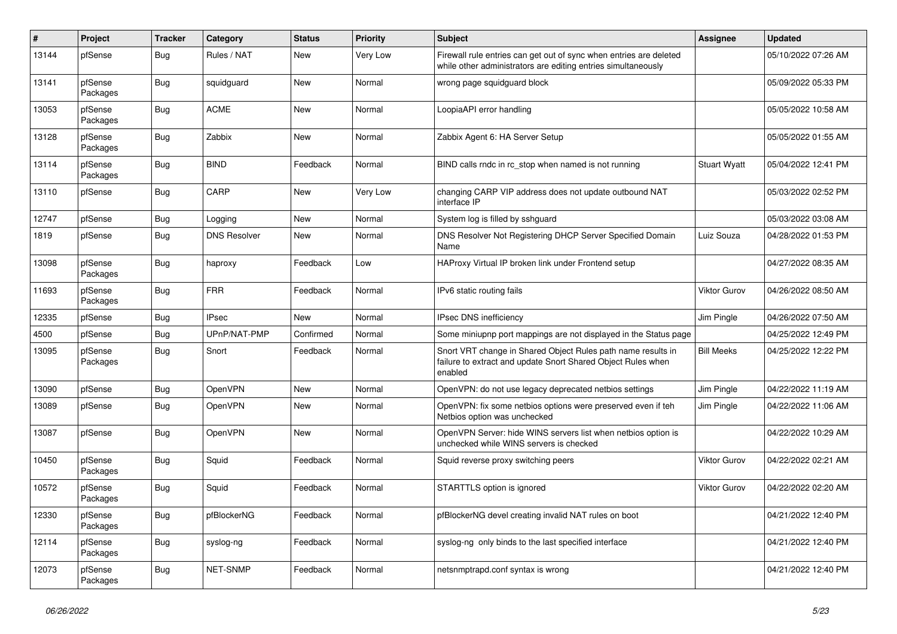| $\vert$ # | Project             | <b>Tracker</b> | Category            | <b>Status</b> | Priority | <b>Subject</b>                                                                                                                          | <b>Assignee</b>     | <b>Updated</b>      |
|-----------|---------------------|----------------|---------------------|---------------|----------|-----------------------------------------------------------------------------------------------------------------------------------------|---------------------|---------------------|
| 13144     | pfSense             | Bug            | Rules / NAT         | New           | Very Low | Firewall rule entries can get out of sync when entries are deleted<br>while other administrators are editing entries simultaneously     |                     | 05/10/2022 07:26 AM |
| 13141     | pfSense<br>Packages | Bug            | squidguard          | New           | Normal   | wrong page squidguard block                                                                                                             |                     | 05/09/2022 05:33 PM |
| 13053     | pfSense<br>Packages | <b>Bug</b>     | <b>ACME</b>         | <b>New</b>    | Normal   | LoopiaAPI error handling                                                                                                                |                     | 05/05/2022 10:58 AM |
| 13128     | pfSense<br>Packages | <b>Bug</b>     | Zabbix              | New           | Normal   | Zabbix Agent 6: HA Server Setup                                                                                                         |                     | 05/05/2022 01:55 AM |
| 13114     | pfSense<br>Packages | <b>Bug</b>     | <b>BIND</b>         | Feedback      | Normal   | BIND calls rndc in rc_stop when named is not running                                                                                    | <b>Stuart Wyatt</b> | 05/04/2022 12:41 PM |
| 13110     | pfSense             | Bug            | CARP                | <b>New</b>    | Very Low | changing CARP VIP address does not update outbound NAT<br>interface IP                                                                  |                     | 05/03/2022 02:52 PM |
| 12747     | pfSense             | <b>Bug</b>     | Logging             | New           | Normal   | System log is filled by sshguard                                                                                                        |                     | 05/03/2022 03:08 AM |
| 1819      | pfSense             | <b>Bug</b>     | <b>DNS Resolver</b> | New           | Normal   | DNS Resolver Not Registering DHCP Server Specified Domain<br>Name                                                                       | Luiz Souza          | 04/28/2022 01:53 PM |
| 13098     | pfSense<br>Packages | <b>Bug</b>     | haproxy             | Feedback      | Low      | HAProxy Virtual IP broken link under Frontend setup                                                                                     |                     | 04/27/2022 08:35 AM |
| 11693     | pfSense<br>Packages | Bug            | <b>FRR</b>          | Feedback      | Normal   | IPv6 static routing fails                                                                                                               | <b>Viktor Gurov</b> | 04/26/2022 08:50 AM |
| 12335     | pfSense             | <b>Bug</b>     | <b>IPsec</b>        | <b>New</b>    | Normal   | <b>IPsec DNS inefficiency</b>                                                                                                           | Jim Pingle          | 04/26/2022 07:50 AM |
| 4500      | pfSense             | <b>Bug</b>     | UPnP/NAT-PMP        | Confirmed     | Normal   | Some miniupnp port mappings are not displayed in the Status page                                                                        |                     | 04/25/2022 12:49 PM |
| 13095     | pfSense<br>Packages | Bug            | Snort               | Feedback      | Normal   | Snort VRT change in Shared Object Rules path name results in<br>failure to extract and update Snort Shared Object Rules when<br>enabled | <b>Bill Meeks</b>   | 04/25/2022 12:22 PM |
| 13090     | pfSense             | <b>Bug</b>     | OpenVPN             | <b>New</b>    | Normal   | OpenVPN: do not use legacy deprecated netbios settings                                                                                  | Jim Pingle          | 04/22/2022 11:19 AM |
| 13089     | pfSense             | Bug            | OpenVPN             | New           | Normal   | OpenVPN: fix some netbios options were preserved even if teh<br>Netbios option was unchecked                                            | Jim Pingle          | 04/22/2022 11:06 AM |
| 13087     | pfSense             | Bug            | OpenVPN             | New           | Normal   | OpenVPN Server: hide WINS servers list when netbios option is<br>unchecked while WINS servers is checked                                |                     | 04/22/2022 10:29 AM |
| 10450     | pfSense<br>Packages | <b>Bug</b>     | Squid               | Feedback      | Normal   | Squid reverse proxy switching peers                                                                                                     | <b>Viktor Gurov</b> | 04/22/2022 02:21 AM |
| 10572     | pfSense<br>Packages | <b>Bug</b>     | Squid               | Feedback      | Normal   | STARTTLS option is ignored                                                                                                              | <b>Viktor Gurov</b> | 04/22/2022 02:20 AM |
| 12330     | pfSense<br>Packages | <b>Bug</b>     | pfBlockerNG         | Feedback      | Normal   | pfBlockerNG devel creating invalid NAT rules on boot                                                                                    |                     | 04/21/2022 12:40 PM |
| 12114     | pfSense<br>Packages | Bug            | syslog-ng           | Feedback      | Normal   | syslog-ng only binds to the last specified interface                                                                                    |                     | 04/21/2022 12:40 PM |
| 12073     | pfSense<br>Packages | <b>Bug</b>     | <b>NET-SNMP</b>     | Feedback      | Normal   | netsnmptrapd.conf syntax is wrong                                                                                                       |                     | 04/21/2022 12:40 PM |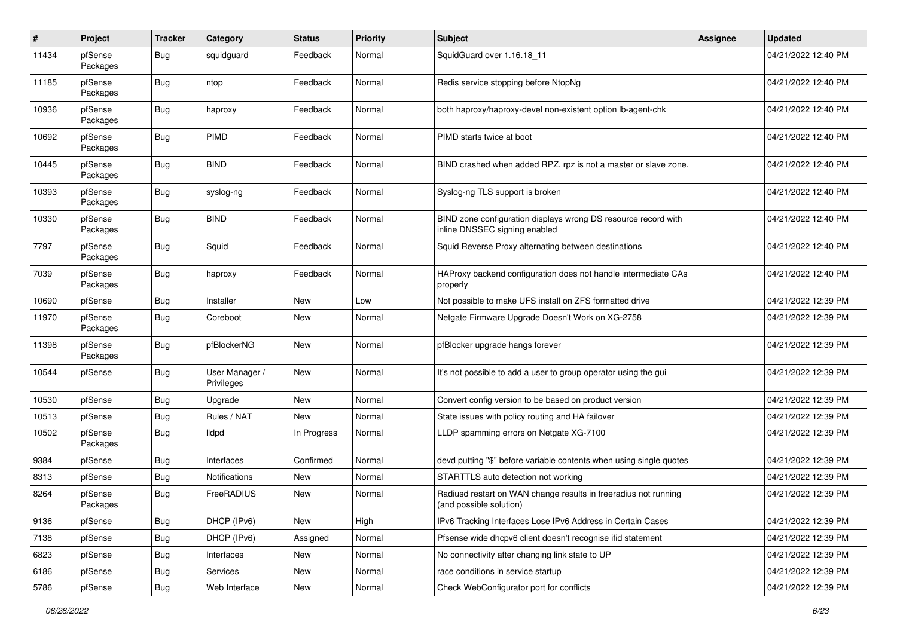| $\pmb{\#}$ | Project             | <b>Tracker</b> | Category                     | <b>Status</b> | <b>Priority</b> | Subject                                                                                         | <b>Assignee</b> | <b>Updated</b>      |
|------------|---------------------|----------------|------------------------------|---------------|-----------------|-------------------------------------------------------------------------------------------------|-----------------|---------------------|
| 11434      | pfSense<br>Packages | Bug            | squidguard                   | Feedback      | Normal          | SquidGuard over 1.16.18 11                                                                      |                 | 04/21/2022 12:40 PM |
| 11185      | pfSense<br>Packages | Bug            | ntop                         | Feedback      | Normal          | Redis service stopping before NtopNg                                                            |                 | 04/21/2022 12:40 PM |
| 10936      | pfSense<br>Packages | <b>Bug</b>     | haproxy                      | Feedback      | Normal          | both haproxy/haproxy-devel non-existent option lb-agent-chk                                     |                 | 04/21/2022 12:40 PM |
| 10692      | pfSense<br>Packages | Bug            | <b>PIMD</b>                  | Feedback      | Normal          | PIMD starts twice at boot                                                                       |                 | 04/21/2022 12:40 PM |
| 10445      | pfSense<br>Packages | Bug            | <b>BIND</b>                  | Feedback      | Normal          | BIND crashed when added RPZ. rpz is not a master or slave zone.                                 |                 | 04/21/2022 12:40 PM |
| 10393      | pfSense<br>Packages | Bug            | syslog-ng                    | Feedback      | Normal          | Syslog-ng TLS support is broken                                                                 |                 | 04/21/2022 12:40 PM |
| 10330      | pfSense<br>Packages | Bug            | <b>BIND</b>                  | Feedback      | Normal          | BIND zone configuration displays wrong DS resource record with<br>inline DNSSEC signing enabled |                 | 04/21/2022 12:40 PM |
| 7797       | pfSense<br>Packages | Bug            | Squid                        | Feedback      | Normal          | Squid Reverse Proxy alternating between destinations                                            |                 | 04/21/2022 12:40 PM |
| 7039       | pfSense<br>Packages | Bug            | haproxy                      | Feedback      | Normal          | HAProxy backend configuration does not handle intermediate CAs<br>properly                      |                 | 04/21/2022 12:40 PM |
| 10690      | pfSense             | Bug            | Installer                    | New           | Low             | Not possible to make UFS install on ZFS formatted drive                                         |                 | 04/21/2022 12:39 PM |
| 11970      | pfSense<br>Packages | Bug            | Coreboot                     | New           | Normal          | Netgate Firmware Upgrade Doesn't Work on XG-2758                                                |                 | 04/21/2022 12:39 PM |
| 11398      | pfSense<br>Packages | <b>Bug</b>     | pfBlockerNG                  | New           | Normal          | pfBlocker upgrade hangs forever                                                                 |                 | 04/21/2022 12:39 PM |
| 10544      | pfSense             | <b>Bug</b>     | User Manager /<br>Privileges | New           | Normal          | It's not possible to add a user to group operator using the gui                                 |                 | 04/21/2022 12:39 PM |
| 10530      | pfSense             | Bug            | Upgrade                      | New           | Normal          | Convert config version to be based on product version                                           |                 | 04/21/2022 12:39 PM |
| 10513      | pfSense             | Bug            | Rules / NAT                  | <b>New</b>    | Normal          | State issues with policy routing and HA failover                                                |                 | 04/21/2022 12:39 PM |
| 10502      | pfSense<br>Packages | <b>Bug</b>     | <b>Ildpd</b>                 | In Progress   | Normal          | LLDP spamming errors on Netgate XG-7100                                                         |                 | 04/21/2022 12:39 PM |
| 9384       | pfSense             | Bug            | Interfaces                   | Confirmed     | Normal          | devd putting "\$" before variable contents when using single quotes                             |                 | 04/21/2022 12:39 PM |
| 8313       | pfSense             | Bug            | Notifications                | New           | Normal          | STARTTLS auto detection not working                                                             |                 | 04/21/2022 12:39 PM |
| 8264       | pfSense<br>Packages | Bug            | FreeRADIUS                   | New           | Normal          | Radiusd restart on WAN change results in freeradius not running<br>(and possible solution)      |                 | 04/21/2022 12:39 PM |
| 9136       | pfSense             | <b>Bug</b>     | DHCP (IPv6)                  | New           | High            | IPv6 Tracking Interfaces Lose IPv6 Address in Certain Cases                                     |                 | 04/21/2022 12:39 PM |
| 7138       | pfSense             | <b>Bug</b>     | DHCP (IPv6)                  | Assigned      | Normal          | Pfsense wide dhcpv6 client doesn't recognise ifid statement                                     |                 | 04/21/2022 12:39 PM |
| 6823       | pfSense             | <b>Bug</b>     | Interfaces                   | New           | Normal          | No connectivity after changing link state to UP                                                 |                 | 04/21/2022 12:39 PM |
| 6186       | pfSense             | <b>Bug</b>     | Services                     | New           | Normal          | race conditions in service startup                                                              |                 | 04/21/2022 12:39 PM |
| 5786       | pfSense             | Bug            | Web Interface                | New           | Normal          | Check WebConfigurator port for conflicts                                                        |                 | 04/21/2022 12:39 PM |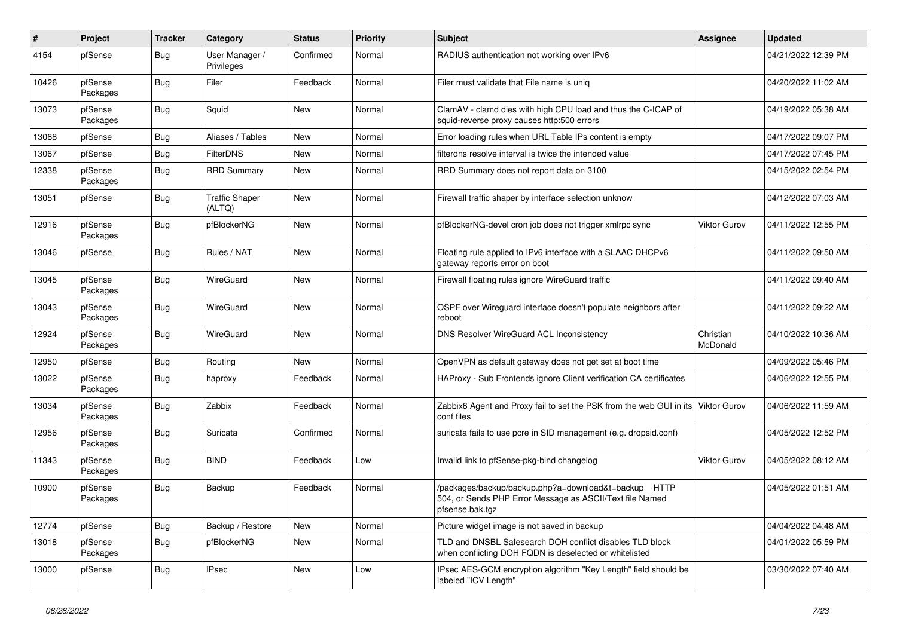| $\vert$ # | Project             | <b>Tracker</b> | Category                        | <b>Status</b> | <b>Priority</b> | <b>Subject</b>                                                                                                                      | Assignee              | <b>Updated</b>      |
|-----------|---------------------|----------------|---------------------------------|---------------|-----------------|-------------------------------------------------------------------------------------------------------------------------------------|-----------------------|---------------------|
| 4154      | pfSense             | <b>Bug</b>     | User Manager /<br>Privileges    | Confirmed     | Normal          | RADIUS authentication not working over IPv6                                                                                         |                       | 04/21/2022 12:39 PM |
| 10426     | pfSense<br>Packages | <b>Bug</b>     | Filer                           | Feedback      | Normal          | Filer must validate that File name is uniq                                                                                          |                       | 04/20/2022 11:02 AM |
| 13073     | pfSense<br>Packages | Bug            | Squid                           | New           | Normal          | ClamAV - clamd dies with high CPU load and thus the C-ICAP of<br>squid-reverse proxy causes http:500 errors                         |                       | 04/19/2022 05:38 AM |
| 13068     | pfSense             | <b>Bug</b>     | Aliases / Tables                | New           | Normal          | Error loading rules when URL Table IPs content is empty                                                                             |                       | 04/17/2022 09:07 PM |
| 13067     | pfSense             | Bug            | <b>FilterDNS</b>                | New           | Normal          | filterdns resolve interval is twice the intended value                                                                              |                       | 04/17/2022 07:45 PM |
| 12338     | pfSense<br>Packages | Bug            | <b>RRD Summary</b>              | New           | Normal          | RRD Summary does not report data on 3100                                                                                            |                       | 04/15/2022 02:54 PM |
| 13051     | pfSense             | <b>Bug</b>     | <b>Traffic Shaper</b><br>(ALTQ) | New           | Normal          | Firewall traffic shaper by interface selection unknow                                                                               |                       | 04/12/2022 07:03 AM |
| 12916     | pfSense<br>Packages | <b>Bug</b>     | pfBlockerNG                     | <b>New</b>    | Normal          | pfBlockerNG-devel cron job does not trigger xmlrpc sync                                                                             | <b>Viktor Gurov</b>   | 04/11/2022 12:55 PM |
| 13046     | pfSense             | Bug            | Rules / NAT                     | New           | Normal          | Floating rule applied to IPv6 interface with a SLAAC DHCPv6<br>gateway reports error on boot                                        |                       | 04/11/2022 09:50 AM |
| 13045     | pfSense<br>Packages | <b>Bug</b>     | WireGuard                       | New           | Normal          | Firewall floating rules ignore WireGuard traffic                                                                                    |                       | 04/11/2022 09:40 AM |
| 13043     | pfSense<br>Packages | <b>Bug</b>     | WireGuard                       | <b>New</b>    | Normal          | OSPF over Wireguard interface doesn't populate neighbors after<br>reboot                                                            |                       | 04/11/2022 09:22 AM |
| 12924     | pfSense<br>Packages | Bug            | WireGuard                       | New           | Normal          | DNS Resolver WireGuard ACL Inconsistency                                                                                            | Christian<br>McDonald | 04/10/2022 10:36 AM |
| 12950     | pfSense             | Bug            | Routing                         | <b>New</b>    | Normal          | OpenVPN as default gateway does not get set at boot time                                                                            |                       | 04/09/2022 05:46 PM |
| 13022     | pfSense<br>Packages | <b>Bug</b>     | haproxy                         | Feedback      | Normal          | HAProxy - Sub Frontends ignore Client verification CA certificates                                                                  |                       | 04/06/2022 12:55 PM |
| 13034     | pfSense<br>Packages | <b>Bug</b>     | Zabbix                          | Feedback      | Normal          | Zabbix6 Agent and Proxy fail to set the PSK from the web GUI in its<br>conf files                                                   | <b>Viktor Gurov</b>   | 04/06/2022 11:59 AM |
| 12956     | pfSense<br>Packages | <b>Bug</b>     | Suricata                        | Confirmed     | Normal          | suricata fails to use pcre in SID management (e.g. dropsid.conf)                                                                    |                       | 04/05/2022 12:52 PM |
| 11343     | pfSense<br>Packages | Bug            | <b>BIND</b>                     | Feedback      | Low             | Invalid link to pfSense-pkg-bind changelog                                                                                          | <b>Viktor Gurov</b>   | 04/05/2022 08:12 AM |
| 10900     | pfSense<br>Packages | <b>Bug</b>     | Backup                          | Feedback      | Normal          | /packages/backup/backup.php?a=download&t=backup HTTP<br>504, or Sends PHP Error Message as ASCII/Text file Named<br>pfsense.bak.tgz |                       | 04/05/2022 01:51 AM |
| 12774     | pfSense             | Bug            | Backup / Restore                | New           | Normal          | Picture widget image is not saved in backup                                                                                         |                       | 04/04/2022 04:48 AM |
| 13018     | pfSense<br>Packages | Bug            | pfBlockerNG                     | New           | Normal          | TLD and DNSBL Safesearch DOH conflict disables TLD block<br>when conflicting DOH FQDN is deselected or whitelisted                  |                       | 04/01/2022 05:59 PM |
| 13000     | pfSense             | <b>Bug</b>     | <b>IPsec</b>                    | New           | Low             | IPsec AES-GCM encryption algorithm "Key Length" field should be<br>labeled "ICV Length"                                             |                       | 03/30/2022 07:40 AM |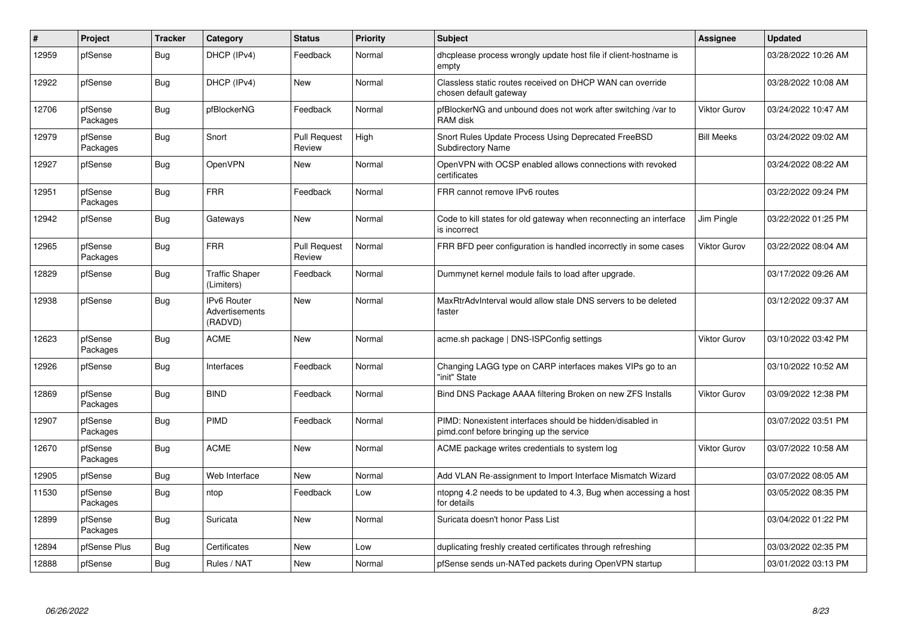| $\#$  | Project             | <b>Tracker</b> | Category                                        | <b>Status</b>                 | <b>Priority</b> | <b>Subject</b>                                                                                        | <b>Assignee</b>     | <b>Updated</b>      |
|-------|---------------------|----------------|-------------------------------------------------|-------------------------------|-----------------|-------------------------------------------------------------------------------------------------------|---------------------|---------------------|
| 12959 | pfSense             | Bug            | DHCP (IPv4)                                     | Feedback                      | Normal          | dhcplease process wrongly update host file if client-hostname is<br>empty                             |                     | 03/28/2022 10:26 AM |
| 12922 | pfSense             | <b>Bug</b>     | DHCP (IPv4)                                     | New                           | Normal          | Classless static routes received on DHCP WAN can override<br>chosen default gateway                   |                     | 03/28/2022 10:08 AM |
| 12706 | pfSense<br>Packages | Bug            | pfBlockerNG                                     | Feedback                      | Normal          | pfBlockerNG and unbound does not work after switching /var to<br>RAM disk                             | Viktor Gurov        | 03/24/2022 10:47 AM |
| 12979 | pfSense<br>Packages | <b>Bug</b>     | Snort                                           | <b>Pull Request</b><br>Review | High            | Snort Rules Update Process Using Deprecated FreeBSD<br><b>Subdirectory Name</b>                       | <b>Bill Meeks</b>   | 03/24/2022 09:02 AM |
| 12927 | pfSense             | <b>Bug</b>     | OpenVPN                                         | New                           | Normal          | OpenVPN with OCSP enabled allows connections with revoked<br>certificates                             |                     | 03/24/2022 08:22 AM |
| 12951 | pfSense<br>Packages | Bug            | <b>FRR</b>                                      | Feedback                      | Normal          | FRR cannot remove IPv6 routes                                                                         |                     | 03/22/2022 09:24 PM |
| 12942 | pfSense             | <b>Bug</b>     | Gateways                                        | New                           | Normal          | Code to kill states for old gateway when reconnecting an interface<br>is incorrect                    | Jim Pingle          | 03/22/2022 01:25 PM |
| 12965 | pfSense<br>Packages | <b>Bug</b>     | <b>FRR</b>                                      | <b>Pull Request</b><br>Review | Normal          | FRR BFD peer configuration is handled incorrectly in some cases                                       | <b>Viktor Gurov</b> | 03/22/2022 08:04 AM |
| 12829 | pfSense             | <b>Bug</b>     | <b>Traffic Shaper</b><br>(Limiters)             | Feedback                      | Normal          | Dummynet kernel module fails to load after upgrade.                                                   |                     | 03/17/2022 09:26 AM |
| 12938 | pfSense             | <b>Bug</b>     | <b>IPv6 Router</b><br>Advertisements<br>(RADVD) | New                           | Normal          | MaxRtrAdvInterval would allow stale DNS servers to be deleted<br>faster                               |                     | 03/12/2022 09:37 AM |
| 12623 | pfSense<br>Packages | Bug            | <b>ACME</b>                                     | New                           | Normal          | acme.sh package   DNS-ISPConfig settings                                                              | Viktor Gurov        | 03/10/2022 03:42 PM |
| 12926 | pfSense             | <b>Bug</b>     | Interfaces                                      | Feedback                      | Normal          | Changing LAGG type on CARP interfaces makes VIPs go to an<br>"init" State                             |                     | 03/10/2022 10:52 AM |
| 12869 | pfSense<br>Packages | Bug            | <b>BIND</b>                                     | Feedback                      | Normal          | Bind DNS Package AAAA filtering Broken on new ZFS Installs                                            | <b>Viktor Gurov</b> | 03/09/2022 12:38 PM |
| 12907 | pfSense<br>Packages | <b>Bug</b>     | PIMD                                            | Feedback                      | Normal          | PIMD: Nonexistent interfaces should be hidden/disabled in<br>pimd.conf before bringing up the service |                     | 03/07/2022 03:51 PM |
| 12670 | pfSense<br>Packages | <b>Bug</b>     | <b>ACME</b>                                     | New                           | Normal          | ACME package writes credentials to system log                                                         | <b>Viktor Gurov</b> | 03/07/2022 10:58 AM |
| 12905 | pfSense             | <b>Bug</b>     | Web Interface                                   | New                           | Normal          | Add VLAN Re-assignment to Import Interface Mismatch Wizard                                            |                     | 03/07/2022 08:05 AM |
| 11530 | pfSense<br>Packages | <b>Bug</b>     | ntop                                            | Feedback                      | Low             | ntopng 4.2 needs to be updated to 4.3, Bug when accessing a host<br>for details                       |                     | 03/05/2022 08:35 PM |
| 12899 | pfSense<br>Packages | <b>Bug</b>     | Suricata                                        | New                           | Normal          | Suricata doesn't honor Pass List                                                                      |                     | 03/04/2022 01:22 PM |
| 12894 | pfSense Plus        | <b>Bug</b>     | Certificates                                    | New                           | Low             | duplicating freshly created certificates through refreshing                                           |                     | 03/03/2022 02:35 PM |
| 12888 | pfSense             | <b>Bug</b>     | Rules / NAT                                     | New                           | Normal          | pfSense sends un-NATed packets during OpenVPN startup                                                 |                     | 03/01/2022 03:13 PM |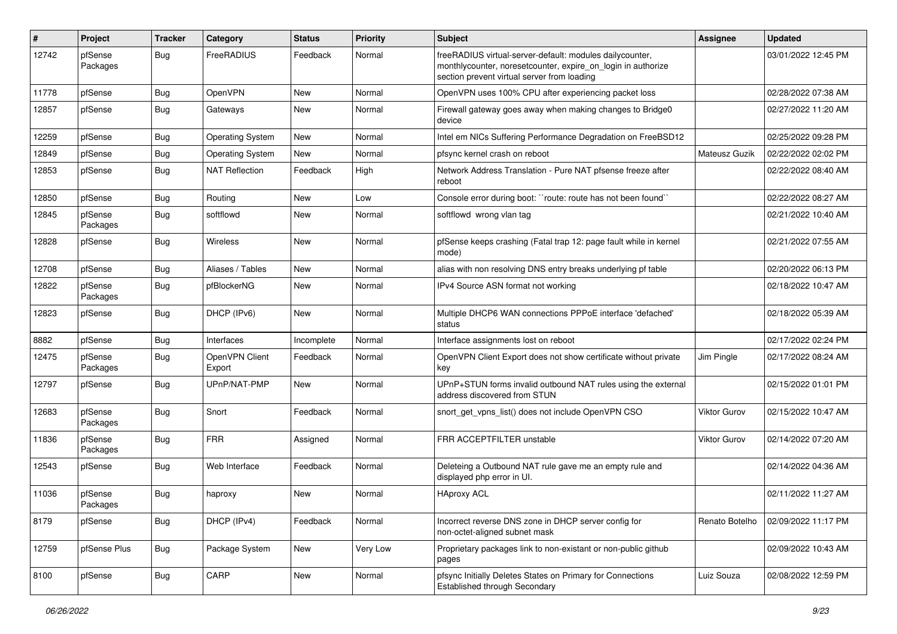| #     | Project             | <b>Tracker</b> | Category                 | <b>Status</b> | <b>Priority</b> | <b>Subject</b>                                                                                                                                                          | Assignee            | <b>Updated</b>      |
|-------|---------------------|----------------|--------------------------|---------------|-----------------|-------------------------------------------------------------------------------------------------------------------------------------------------------------------------|---------------------|---------------------|
| 12742 | pfSense<br>Packages | <b>Bug</b>     | FreeRADIUS               | Feedback      | Normal          | freeRADIUS virtual-server-default: modules dailycounter,<br>monthlycounter, noresetcounter, expire on login in authorize<br>section prevent virtual server from loading |                     | 03/01/2022 12:45 PM |
| 11778 | pfSense             | <b>Bug</b>     | OpenVPN                  | New           | Normal          | OpenVPN uses 100% CPU after experiencing packet loss                                                                                                                    |                     | 02/28/2022 07:38 AM |
| 12857 | pfSense             | <b>Bug</b>     | Gateways                 | New           | Normal          | Firewall gateway goes away when making changes to Bridge0<br>device                                                                                                     |                     | 02/27/2022 11:20 AM |
| 12259 | pfSense             | <b>Bug</b>     | <b>Operating System</b>  | New           | Normal          | Intel em NICs Suffering Performance Degradation on FreeBSD12                                                                                                            |                     | 02/25/2022 09:28 PM |
| 12849 | pfSense             | <b>Bug</b>     | <b>Operating System</b>  | New           | Normal          | pfsync kernel crash on reboot                                                                                                                                           | Mateusz Guzik       | 02/22/2022 02:02 PM |
| 12853 | pfSense             | Bug            | <b>NAT Reflection</b>    | Feedback      | High            | Network Address Translation - Pure NAT pfsense freeze after<br>reboot                                                                                                   |                     | 02/22/2022 08:40 AM |
| 12850 | pfSense             | Bug            | Routing                  | New           | Low             | Console error during boot: "route: route has not been found"                                                                                                            |                     | 02/22/2022 08:27 AM |
| 12845 | pfSense<br>Packages | Bug            | softflowd                | New           | Normal          | softflowd wrong vlan tag                                                                                                                                                |                     | 02/21/2022 10:40 AM |
| 12828 | pfSense             | <b>Bug</b>     | Wireless                 | New           | Normal          | pfSense keeps crashing (Fatal trap 12: page fault while in kernel<br>mode)                                                                                              |                     | 02/21/2022 07:55 AM |
| 12708 | pfSense             | <b>Bug</b>     | Aliases / Tables         | <b>New</b>    | Normal          | alias with non resolving DNS entry breaks underlying pf table                                                                                                           |                     | 02/20/2022 06:13 PM |
| 12822 | pfSense<br>Packages | Bug            | pfBlockerNG              | New           | Normal          | IPv4 Source ASN format not working                                                                                                                                      |                     | 02/18/2022 10:47 AM |
| 12823 | pfSense             | <b>Bug</b>     | DHCP (IPv6)              | <b>New</b>    | Normal          | Multiple DHCP6 WAN connections PPPoE interface 'defached'<br>status                                                                                                     |                     | 02/18/2022 05:39 AM |
| 8882  | pfSense             | <b>Bug</b>     | Interfaces               | Incomplete    | Normal          | Interface assignments lost on reboot                                                                                                                                    |                     | 02/17/2022 02:24 PM |
| 12475 | pfSense<br>Packages | <b>Bug</b>     | OpenVPN Client<br>Export | Feedback      | Normal          | OpenVPN Client Export does not show certificate without private<br>key                                                                                                  | Jim Pingle          | 02/17/2022 08:24 AM |
| 12797 | pfSense             | <b>Bug</b>     | UPnP/NAT-PMP             | <b>New</b>    | Normal          | UPnP+STUN forms invalid outbound NAT rules using the external<br>address discovered from STUN                                                                           |                     | 02/15/2022 01:01 PM |
| 12683 | pfSense<br>Packages | <b>Bug</b>     | Snort                    | Feedback      | Normal          | snort_get_vpns_list() does not include OpenVPN CSO                                                                                                                      | <b>Viktor Gurov</b> | 02/15/2022 10:47 AM |
| 11836 | pfSense<br>Packages | <b>Bug</b>     | <b>FRR</b>               | Assigned      | Normal          | FRR ACCEPTFILTER unstable                                                                                                                                               | <b>Viktor Gurov</b> | 02/14/2022 07:20 AM |
| 12543 | pfSense             | <b>Bug</b>     | Web Interface            | Feedback      | Normal          | Deleteing a Outbound NAT rule gave me an empty rule and<br>displayed php error in UI.                                                                                   |                     | 02/14/2022 04:36 AM |
| 11036 | pfSense<br>Packages | <b>Bug</b>     | haproxy                  | New           | Normal          | <b>HAproxy ACL</b>                                                                                                                                                      |                     | 02/11/2022 11:27 AM |
| 8179  | pfSense             | Bug            | DHCP (IPv4)              | Feedback      | Normal          | Incorrect reverse DNS zone in DHCP server config for<br>non-octet-aligned subnet mask                                                                                   | Renato Botelho      | 02/09/2022 11:17 PM |
| 12759 | pfSense Plus        | Bug            | Package System           | New           | Very Low        | Proprietary packages link to non-existant or non-public github<br>pages                                                                                                 |                     | 02/09/2022 10:43 AM |
| 8100  | pfSense             | <b>Bug</b>     | CARP                     | New           | Normal          | pfsync Initially Deletes States on Primary for Connections<br><b>Established through Secondary</b>                                                                      | Luiz Souza          | 02/08/2022 12:59 PM |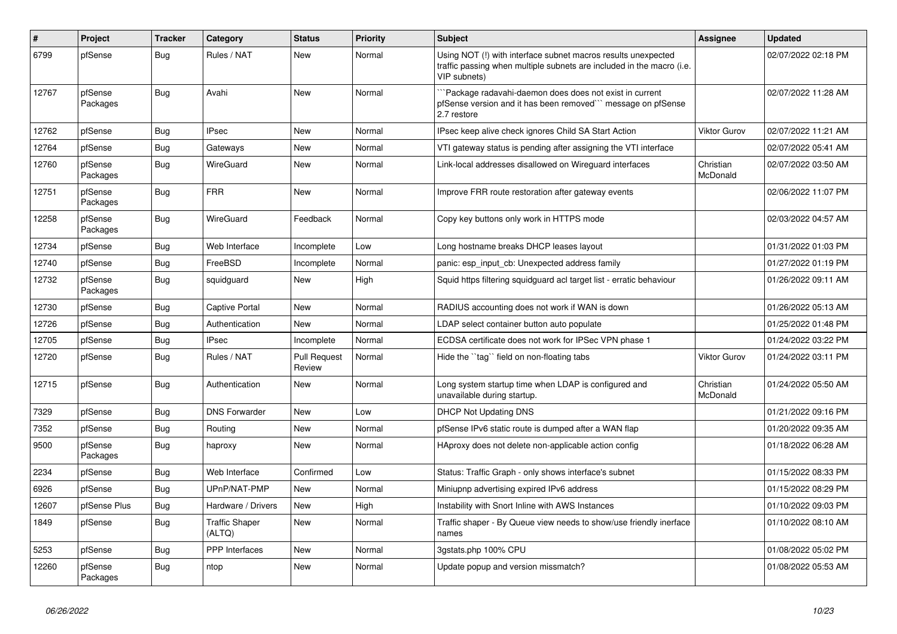| $\vert$ # | Project             | <b>Tracker</b> | Category                        | <b>Status</b>                 | Priority | <b>Subject</b>                                                                                                                                         | <b>Assignee</b>       | <b>Updated</b>      |
|-----------|---------------------|----------------|---------------------------------|-------------------------------|----------|--------------------------------------------------------------------------------------------------------------------------------------------------------|-----------------------|---------------------|
| 6799      | pfSense             | <b>Bug</b>     | Rules / NAT                     | New                           | Normal   | Using NOT (!) with interface subnet macros results unexpected<br>traffic passing when multiple subnets are included in the macro (i.e.<br>VIP subnets) |                       | 02/07/2022 02:18 PM |
| 12767     | pfSense<br>Packages | <b>Bug</b>     | Avahi                           | New                           | Normal   | Package radavahi-daemon does does not exist in current<br>pfSense version and it has been removed``` message on pfSense<br>2.7 restore                 |                       | 02/07/2022 11:28 AM |
| 12762     | pfSense             | Bug            | <b>IPsec</b>                    | New                           | Normal   | IPsec keep alive check ignores Child SA Start Action                                                                                                   | <b>Viktor Gurov</b>   | 02/07/2022 11:21 AM |
| 12764     | pfSense             | <b>Bug</b>     | Gateways                        | New                           | Normal   | VTI gateway status is pending after assigning the VTI interface                                                                                        |                       | 02/07/2022 05:41 AM |
| 12760     | pfSense<br>Packages | Bug            | WireGuard                       | New                           | Normal   | Link-local addresses disallowed on Wireguard interfaces                                                                                                | Christian<br>McDonald | 02/07/2022 03:50 AM |
| 12751     | pfSense<br>Packages | <b>Bug</b>     | <b>FRR</b>                      | <b>New</b>                    | Normal   | Improve FRR route restoration after gateway events                                                                                                     |                       | 02/06/2022 11:07 PM |
| 12258     | pfSense<br>Packages | Bug            | WireGuard                       | Feedback                      | Normal   | Copy key buttons only work in HTTPS mode                                                                                                               |                       | 02/03/2022 04:57 AM |
| 12734     | pfSense             | <b>Bug</b>     | Web Interface                   | Incomplete                    | Low      | Long hostname breaks DHCP leases layout                                                                                                                |                       | 01/31/2022 01:03 PM |
| 12740     | pfSense             | <b>Bug</b>     | FreeBSD                         | Incomplete                    | Normal   | panic: esp input cb: Unexpected address family                                                                                                         |                       | 01/27/2022 01:19 PM |
| 12732     | pfSense<br>Packages | <b>Bug</b>     | squidguard                      | New                           | High     | Squid https filtering squidguard acl target list - erratic behaviour                                                                                   |                       | 01/26/2022 09:11 AM |
| 12730     | pfSense             | Bug            | Captive Portal                  | New                           | Normal   | RADIUS accounting does not work if WAN is down                                                                                                         |                       | 01/26/2022 05:13 AM |
| 12726     | pfSense             | <b>Bug</b>     | Authentication                  | New                           | Normal   | LDAP select container button auto populate                                                                                                             |                       | 01/25/2022 01:48 PM |
| 12705     | pfSense             | Bug            | <b>IPsec</b>                    | Incomplete                    | Normal   | ECDSA certificate does not work for IPSec VPN phase 1                                                                                                  |                       | 01/24/2022 03:22 PM |
| 12720     | pfSense             | Bug            | Rules / NAT                     | <b>Pull Request</b><br>Review | Normal   | Hide the "tag" field on non-floating tabs                                                                                                              | <b>Viktor Gurov</b>   | 01/24/2022 03:11 PM |
| 12715     | pfSense             | Bug            | Authentication                  | <b>New</b>                    | Normal   | Long system startup time when LDAP is configured and<br>unavailable during startup.                                                                    | Christian<br>McDonald | 01/24/2022 05:50 AM |
| 7329      | pfSense             | Bug            | <b>DNS Forwarder</b>            | New                           | Low      | <b>DHCP Not Updating DNS</b>                                                                                                                           |                       | 01/21/2022 09:16 PM |
| 7352      | pfSense             | Bug            | Routing                         | New                           | Normal   | pfSense IPv6 static route is dumped after a WAN flap                                                                                                   |                       | 01/20/2022 09:35 AM |
| 9500      | pfSense<br>Packages | Bug            | haproxy                         | New                           | Normal   | HAproxy does not delete non-applicable action config                                                                                                   |                       | 01/18/2022 06:28 AM |
| 2234      | pfSense             | Bug            | Web Interface                   | Confirmed                     | Low      | Status: Traffic Graph - only shows interface's subnet                                                                                                  |                       | 01/15/2022 08:33 PM |
| 6926      | pfSense             | <b>Bug</b>     | UPnP/NAT-PMP                    | <b>New</b>                    | Normal   | Miniupnp advertising expired IPv6 address                                                                                                              |                       | 01/15/2022 08:29 PM |
| 12607     | pfSense Plus        | Bug            | Hardware / Drivers              | New                           | High     | Instability with Snort Inline with AWS Instances                                                                                                       |                       | 01/10/2022 09:03 PM |
| 1849      | pfSense             | <b>Bug</b>     | <b>Traffic Shaper</b><br>(ALTQ) | New                           | Normal   | Traffic shaper - By Queue view needs to show/use friendly inerface<br>names                                                                            |                       | 01/10/2022 08:10 AM |
| 5253      | pfSense             | Bug            | <b>PPP</b> Interfaces           | New                           | Normal   | 3gstats.php 100% CPU                                                                                                                                   |                       | 01/08/2022 05:02 PM |
| 12260     | pfSense<br>Packages | <b>Bug</b>     | ntop                            | New                           | Normal   | Update popup and version missmatch?                                                                                                                    |                       | 01/08/2022 05:53 AM |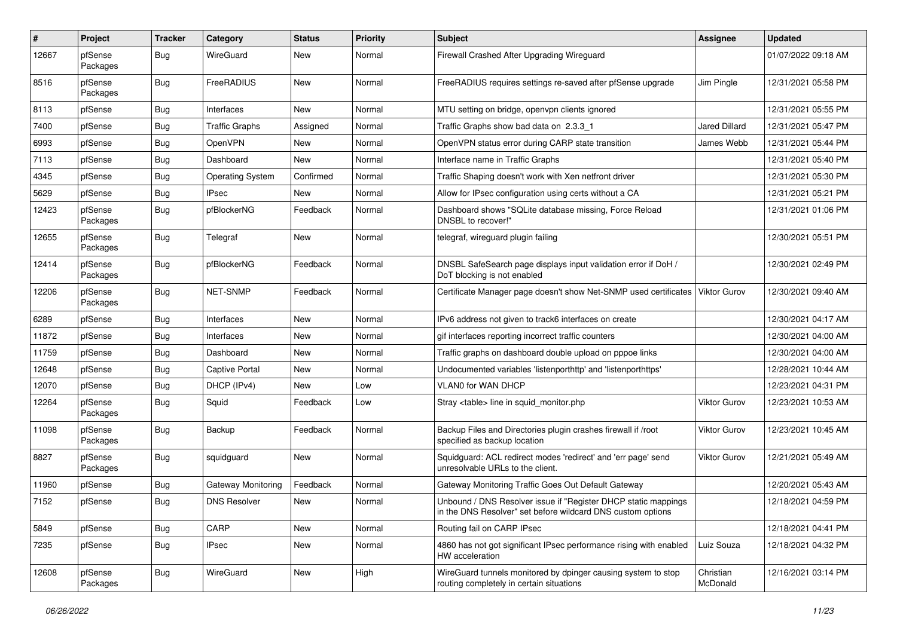| $\pmb{\#}$ | Project             | <b>Tracker</b> | Category                | <b>Status</b> | <b>Priority</b> | <b>Subject</b>                                                                                                                 | Assignee              | <b>Updated</b>      |
|------------|---------------------|----------------|-------------------------|---------------|-----------------|--------------------------------------------------------------------------------------------------------------------------------|-----------------------|---------------------|
| 12667      | pfSense<br>Packages | Bug            | WireGuard               | New           | Normal          | Firewall Crashed After Upgrading Wireguard                                                                                     |                       | 01/07/2022 09:18 AM |
| 8516       | pfSense<br>Packages | Bug            | FreeRADIUS              | New           | Normal          | FreeRADIUS requires settings re-saved after pfSense upgrade                                                                    | Jim Pingle            | 12/31/2021 05:58 PM |
| 8113       | pfSense             | <b>Bug</b>     | Interfaces              | New           | Normal          | MTU setting on bridge, openypn clients ignored                                                                                 |                       | 12/31/2021 05:55 PM |
| 7400       | pfSense             | <b>Bug</b>     | <b>Traffic Graphs</b>   | Assigned      | Normal          | Traffic Graphs show bad data on 2.3.3 1                                                                                        | Jared Dillard         | 12/31/2021 05:47 PM |
| 6993       | pfSense             | <b>Bug</b>     | OpenVPN                 | New           | Normal          | OpenVPN status error during CARP state transition                                                                              | James Webb            | 12/31/2021 05:44 PM |
| 7113       | pfSense             | <b>Bug</b>     | Dashboard               | New           | Normal          | Interface name in Traffic Graphs                                                                                               |                       | 12/31/2021 05:40 PM |
| 4345       | pfSense             | Bug            | <b>Operating System</b> | Confirmed     | Normal          | Traffic Shaping doesn't work with Xen netfront driver                                                                          |                       | 12/31/2021 05:30 PM |
| 5629       | pfSense             | <b>Bug</b>     | <b>IPsec</b>            | New           | Normal          | Allow for IPsec configuration using certs without a CA                                                                         |                       | 12/31/2021 05:21 PM |
| 12423      | pfSense<br>Packages | Bug            | pfBlockerNG             | Feedback      | Normal          | Dashboard shows "SQLite database missing, Force Reload<br>DNSBL to recover!"                                                   |                       | 12/31/2021 01:06 PM |
| 12655      | pfSense<br>Packages | <b>Bug</b>     | Telegraf                | New           | Normal          | telegraf, wireguard plugin failing                                                                                             |                       | 12/30/2021 05:51 PM |
| 12414      | pfSense<br>Packages | Bug            | pfBlockerNG             | Feedback      | Normal          | DNSBL SafeSearch page displays input validation error if DoH /<br>DoT blocking is not enabled                                  |                       | 12/30/2021 02:49 PM |
| 12206      | pfSense<br>Packages | Bug            | <b>NET-SNMP</b>         | Feedback      | Normal          | Certificate Manager page doesn't show Net-SNMP used certificates                                                               | <b>Viktor Gurov</b>   | 12/30/2021 09:40 AM |
| 6289       | pfSense             | <b>Bug</b>     | Interfaces              | New           | Normal          | IPv6 address not given to track6 interfaces on create                                                                          |                       | 12/30/2021 04:17 AM |
| 11872      | pfSense             | <b>Bug</b>     | Interfaces              | New           | Normal          | gif interfaces reporting incorrect traffic counters                                                                            |                       | 12/30/2021 04:00 AM |
| 11759      | pfSense             | <b>Bug</b>     | Dashboard               | New           | Normal          | Traffic graphs on dashboard double upload on pppoe links                                                                       |                       | 12/30/2021 04:00 AM |
| 12648      | pfSense             | <b>Bug</b>     | Captive Portal          | New           | Normal          | Undocumented variables 'listenporthttp' and 'listenporthttps'                                                                  |                       | 12/28/2021 10:44 AM |
| 12070      | pfSense             | <b>Bug</b>     | DHCP (IPv4)             | New           | Low             | <b>VLAN0 for WAN DHCP</b>                                                                                                      |                       | 12/23/2021 04:31 PM |
| 12264      | pfSense<br>Packages | Bug            | Squid                   | Feedback      | Low             | Stray <table> line in squid_monitor.php</table>                                                                                | Viktor Gurov          | 12/23/2021 10:53 AM |
| 11098      | pfSense<br>Packages | Bug            | Backup                  | Feedback      | Normal          | Backup Files and Directories plugin crashes firewall if /root<br>specified as backup location                                  | Viktor Gurov          | 12/23/2021 10:45 AM |
| 8827       | pfSense<br>Packages | Bug            | squidguard              | New           | Normal          | Squidguard: ACL redirect modes 'redirect' and 'err page' send<br>unresolvable URLs to the client.                              | Viktor Gurov          | 12/21/2021 05:49 AM |
| 11960      | pfSense             | <b>Bug</b>     | Gateway Monitoring      | Feedback      | Normal          | Gateway Monitoring Traffic Goes Out Default Gateway                                                                            |                       | 12/20/2021 05:43 AM |
| 7152       | pfSense             | <b>Bug</b>     | <b>DNS Resolver</b>     | New           | Normal          | Unbound / DNS Resolver issue if "Register DHCP static mappings"<br>in the DNS Resolver" set before wildcard DNS custom options |                       | 12/18/2021 04:59 PM |
| 5849       | pfSense             | <b>Bug</b>     | CARP                    | New           | Normal          | Routing fail on CARP IPsec                                                                                                     |                       | 12/18/2021 04:41 PM |
| 7235       | pfSense             | <b>Bug</b>     | <b>IPsec</b>            | New           | Normal          | 4860 has not got significant IPsec performance rising with enabled<br>HW acceleration                                          | Luiz Souza            | 12/18/2021 04:32 PM |
| 12608      | pfSense<br>Packages | <b>Bug</b>     | WireGuard               | New           | High            | WireGuard tunnels monitored by dpinger causing system to stop<br>routing completely in certain situations                      | Christian<br>McDonald | 12/16/2021 03:14 PM |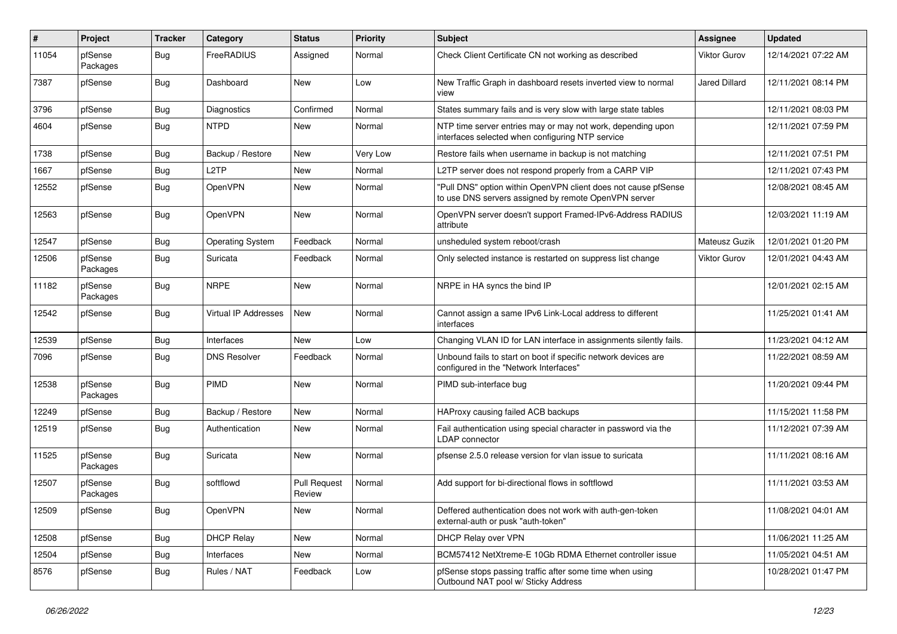| #     | Project             | <b>Tracker</b> | Category                    | <b>Status</b>                 | Priority | <b>Subject</b>                                                                                                         | <b>Assignee</b>     | <b>Updated</b>      |
|-------|---------------------|----------------|-----------------------------|-------------------------------|----------|------------------------------------------------------------------------------------------------------------------------|---------------------|---------------------|
| 11054 | pfSense<br>Packages | <b>Bug</b>     | FreeRADIUS                  | Assigned                      | Normal   | Check Client Certificate CN not working as described                                                                   | <b>Viktor Gurov</b> | 12/14/2021 07:22 AM |
| 7387  | pfSense             | <b>Bug</b>     | Dashboard                   | New                           | Low      | New Traffic Graph in dashboard resets inverted view to normal<br>view                                                  | Jared Dillard       | 12/11/2021 08:14 PM |
| 3796  | pfSense             | <b>Bug</b>     | Diagnostics                 | Confirmed                     | Normal   | States summary fails and is very slow with large state tables                                                          |                     | 12/11/2021 08:03 PM |
| 4604  | pfSense             | <b>Bug</b>     | <b>NTPD</b>                 | New                           | Normal   | NTP time server entries may or may not work, depending upon<br>interfaces selected when configuring NTP service        |                     | 12/11/2021 07:59 PM |
| 1738  | pfSense             | Bug            | Backup / Restore            | New                           | Very Low | Restore fails when username in backup is not matching                                                                  |                     | 12/11/2021 07:51 PM |
| 1667  | pfSense             | Bug            | L2TP                        | New                           | Normal   | L2TP server does not respond properly from a CARP VIP                                                                  |                     | 12/11/2021 07:43 PM |
| 12552 | pfSense             | Bug            | OpenVPN                     | New                           | Normal   | "Pull DNS" option within OpenVPN client does not cause pfSense<br>to use DNS servers assigned by remote OpenVPN server |                     | 12/08/2021 08:45 AM |
| 12563 | pfSense             | Bug            | OpenVPN                     | New                           | Normal   | OpenVPN server doesn't support Framed-IPv6-Address RADIUS<br>attribute                                                 |                     | 12/03/2021 11:19 AM |
| 12547 | pfSense             | Bug            | <b>Operating System</b>     | Feedback                      | Normal   | unsheduled system reboot/crash                                                                                         | Mateusz Guzik       | 12/01/2021 01:20 PM |
| 12506 | pfSense<br>Packages | Bug            | Suricata                    | Feedback                      | Normal   | Only selected instance is restarted on suppress list change                                                            | <b>Viktor Gurov</b> | 12/01/2021 04:43 AM |
| 11182 | pfSense<br>Packages | Bug            | <b>NRPE</b>                 | New                           | Normal   | NRPE in HA syncs the bind IP                                                                                           |                     | 12/01/2021 02:15 AM |
| 12542 | pfSense             | <b>Bug</b>     | <b>Virtual IP Addresses</b> | <b>New</b>                    | Normal   | Cannot assign a same IPv6 Link-Local address to different<br>interfaces                                                |                     | 11/25/2021 01:41 AM |
| 12539 | pfSense             | <b>Bug</b>     | Interfaces                  | <b>New</b>                    | Low      | Changing VLAN ID for LAN interface in assignments silently fails.                                                      |                     | 11/23/2021 04:12 AM |
| 7096  | pfSense             | <b>Bug</b>     | <b>DNS Resolver</b>         | Feedback                      | Normal   | Unbound fails to start on boot if specific network devices are<br>configured in the "Network Interfaces"               |                     | 11/22/2021 08:59 AM |
| 12538 | pfSense<br>Packages | <b>Bug</b>     | <b>PIMD</b>                 | <b>New</b>                    | Normal   | PIMD sub-interface bug                                                                                                 |                     | 11/20/2021 09:44 PM |
| 12249 | pfSense             | <b>Bug</b>     | Backup / Restore            | New                           | Normal   | HAProxy causing failed ACB backups                                                                                     |                     | 11/15/2021 11:58 PM |
| 12519 | pfSense             | <b>Bug</b>     | Authentication              | New                           | Normal   | Fail authentication using special character in password via the<br><b>LDAP</b> connector                               |                     | 11/12/2021 07:39 AM |
| 11525 | pfSense<br>Packages | <b>Bug</b>     | Suricata                    | New                           | Normal   | pfsense 2.5.0 release version for vlan issue to suricata                                                               |                     | 11/11/2021 08:16 AM |
| 12507 | pfSense<br>Packages | Bug            | softflowd                   | <b>Pull Request</b><br>Review | Normal   | Add support for bi-directional flows in softflowd                                                                      |                     | 11/11/2021 03:53 AM |
| 12509 | pfSense             | <b>Bug</b>     | OpenVPN                     | New                           | Normal   | Deffered authentication does not work with auth-gen-token<br>external-auth or pusk "auth-token"                        |                     | 11/08/2021 04:01 AM |
| 12508 | pfSense             | <b>Bug</b>     | <b>DHCP Relay</b>           | New                           | Normal   | DHCP Relay over VPN                                                                                                    |                     | 11/06/2021 11:25 AM |
| 12504 | pfSense             | Bug            | Interfaces                  | New                           | Normal   | BCM57412 NetXtreme-E 10Gb RDMA Ethernet controller issue                                                               |                     | 11/05/2021 04:51 AM |
| 8576  | pfSense             | <b>Bug</b>     | Rules / NAT                 | Feedback                      | Low      | pfSense stops passing traffic after some time when using<br>Outbound NAT pool w/ Sticky Address                        |                     | 10/28/2021 01:47 PM |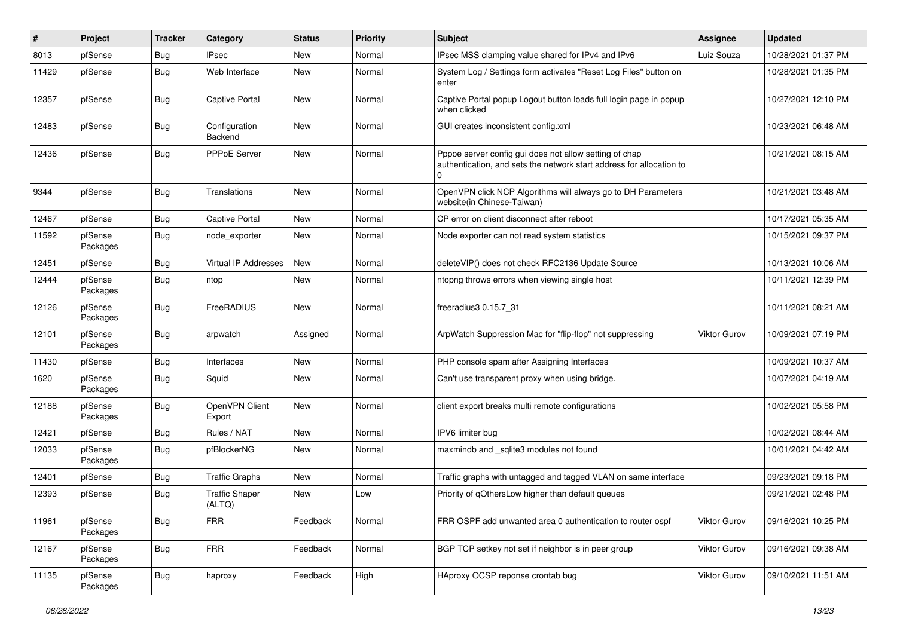| #     | Project             | <b>Tracker</b> | Category                        | <b>Status</b> | Priority | <b>Subject</b>                                                                                                                 | Assignee            | <b>Updated</b>      |
|-------|---------------------|----------------|---------------------------------|---------------|----------|--------------------------------------------------------------------------------------------------------------------------------|---------------------|---------------------|
| 8013  | pfSense             | <b>Bug</b>     | <b>IPsec</b>                    | New           | Normal   | IPsec MSS clamping value shared for IPv4 and IPv6                                                                              | Luiz Souza          | 10/28/2021 01:37 PM |
| 11429 | pfSense             | Bug            | Web Interface                   | New           | Normal   | System Log / Settings form activates "Reset Log Files" button on<br>enter                                                      |                     | 10/28/2021 01:35 PM |
| 12357 | pfSense             | Bug            | Captive Portal                  | <b>New</b>    | Normal   | Captive Portal popup Logout button loads full login page in popup<br>when clicked                                              |                     | 10/27/2021 12:10 PM |
| 12483 | pfSense             | <b>Bug</b>     | Configuration<br>Backend        | New           | Normal   | GUI creates inconsistent config.xml                                                                                            |                     | 10/23/2021 06:48 AM |
| 12436 | pfSense             | <b>Bug</b>     | PPPoE Server                    | New           | Normal   | Pppoe server config gui does not allow setting of chap<br>authentication, and sets the network start address for allocation to |                     | 10/21/2021 08:15 AM |
| 9344  | pfSense             | <b>Bug</b>     | Translations                    | New           | Normal   | OpenVPN click NCP Algorithms will always go to DH Parameters<br>website(in Chinese-Taiwan)                                     |                     | 10/21/2021 03:48 AM |
| 12467 | pfSense             | <b>Bug</b>     | <b>Captive Portal</b>           | <b>New</b>    | Normal   | CP error on client disconnect after reboot                                                                                     |                     | 10/17/2021 05:35 AM |
| 11592 | pfSense<br>Packages | <b>Bug</b>     | node exporter                   | New           | Normal   | Node exporter can not read system statistics                                                                                   |                     | 10/15/2021 09:37 PM |
| 12451 | pfSense             | <b>Bug</b>     | Virtual IP Addresses            | <b>New</b>    | Normal   | deleteVIP() does not check RFC2136 Update Source                                                                               |                     | 10/13/2021 10:06 AM |
| 12444 | pfSense<br>Packages | <b>Bug</b>     | ntop                            | New           | Normal   | ntopng throws errors when viewing single host                                                                                  |                     | 10/11/2021 12:39 PM |
| 12126 | pfSense<br>Packages | <b>Bug</b>     | FreeRADIUS                      | <b>New</b>    | Normal   | freeradius3 0.15.7 31                                                                                                          |                     | 10/11/2021 08:21 AM |
| 12101 | pfSense<br>Packages | <b>Bug</b>     | arpwatch                        | Assigned      | Normal   | ArpWatch Suppression Mac for "flip-flop" not suppressing                                                                       | Viktor Gurov        | 10/09/2021 07:19 PM |
| 11430 | pfSense             | <b>Bug</b>     | Interfaces                      | <b>New</b>    | Normal   | PHP console spam after Assigning Interfaces                                                                                    |                     | 10/09/2021 10:37 AM |
| 1620  | pfSense<br>Packages | Bug            | Squid                           | New           | Normal   | Can't use transparent proxy when using bridge.                                                                                 |                     | 10/07/2021 04:19 AM |
| 12188 | pfSense<br>Packages | <b>Bug</b>     | OpenVPN Client<br>Export        | <b>New</b>    | Normal   | client export breaks multi remote configurations                                                                               |                     | 10/02/2021 05:58 PM |
| 12421 | pfSense             | Bug            | Rules / NAT                     | New           | Normal   | IPV6 limiter bug                                                                                                               |                     | 10/02/2021 08:44 AM |
| 12033 | pfSense<br>Packages | <b>Bug</b>     | pfBlockerNG                     | New           | Normal   | maxmindb and _sqlite3 modules not found                                                                                        |                     | 10/01/2021 04:42 AM |
| 12401 | pfSense             | <b>Bug</b>     | <b>Traffic Graphs</b>           | <b>New</b>    | Normal   | Traffic graphs with untagged and tagged VLAN on same interface                                                                 |                     | 09/23/2021 09:18 PM |
| 12393 | pfSense             | <b>Bug</b>     | <b>Traffic Shaper</b><br>(ALTQ) | New           | Low      | Priority of qOthersLow higher than default queues                                                                              |                     | 09/21/2021 02:48 PM |
| 11961 | pfSense<br>Packages | Bug            | <b>FRR</b>                      | Feedback      | Normal   | FRR OSPF add unwanted area 0 authentication to router ospf                                                                     | Viktor Gurov        | 09/16/2021 10:25 PM |
| 12167 | pfSense<br>Packages | <b>Bug</b>     | <b>FRR</b>                      | Feedback      | Normal   | BGP TCP setkey not set if neighbor is in peer group                                                                            | <b>Viktor Gurov</b> | 09/16/2021 09:38 AM |
| 11135 | pfSense<br>Packages | <b>Bug</b>     | haproxy                         | Feedback      | High     | HAproxy OCSP reponse crontab bug                                                                                               | Viktor Gurov        | 09/10/2021 11:51 AM |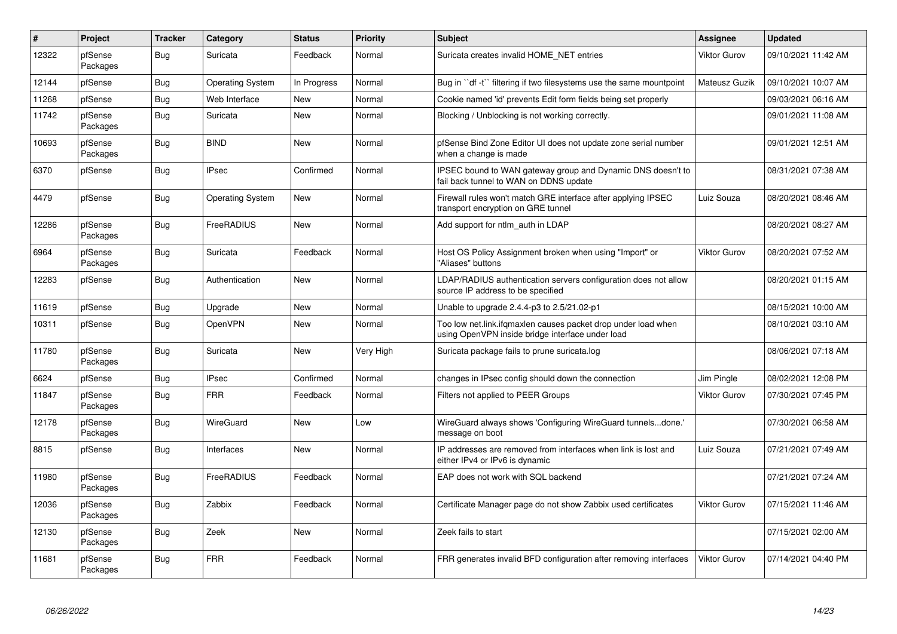| $\vert$ # | Project             | <b>Tracker</b> | Category                | <b>Status</b> | Priority  | <b>Subject</b>                                                                                                    | <b>Assignee</b>     | <b>Updated</b>      |
|-----------|---------------------|----------------|-------------------------|---------------|-----------|-------------------------------------------------------------------------------------------------------------------|---------------------|---------------------|
| 12322     | pfSense<br>Packages | <b>Bug</b>     | Suricata                | Feedback      | Normal    | Suricata creates invalid HOME NET entries                                                                         | <b>Viktor Gurov</b> | 09/10/2021 11:42 AM |
| 12144     | pfSense             | <b>Bug</b>     | <b>Operating System</b> | In Progress   | Normal    | Bug in "df -t" filtering if two filesystems use the same mountpoint                                               | Mateusz Guzik       | 09/10/2021 10:07 AM |
| 11268     | pfSense             | <b>Bug</b>     | Web Interface           | New           | Normal    | Cookie named 'id' prevents Edit form fields being set properly                                                    |                     | 09/03/2021 06:16 AM |
| 11742     | pfSense<br>Packages | <b>Bug</b>     | Suricata                | <b>New</b>    | Normal    | Blocking / Unblocking is not working correctly.                                                                   |                     | 09/01/2021 11:08 AM |
| 10693     | pfSense<br>Packages | <b>Bug</b>     | <b>BIND</b>             | New           | Normal    | pfSense Bind Zone Editor UI does not update zone serial number<br>when a change is made                           |                     | 09/01/2021 12:51 AM |
| 6370      | pfSense             | <b>Bug</b>     | <b>IPsec</b>            | Confirmed     | Normal    | IPSEC bound to WAN gateway group and Dynamic DNS doesn't to<br>fail back tunnel to WAN on DDNS update             |                     | 08/31/2021 07:38 AM |
| 4479      | pfSense             | <b>Bug</b>     | <b>Operating System</b> | New           | Normal    | Firewall rules won't match GRE interface after applying IPSEC<br>transport encryption on GRE tunnel               | Luiz Souza          | 08/20/2021 08:46 AM |
| 12286     | pfSense<br>Packages | <b>Bug</b>     | FreeRADIUS              | <b>New</b>    | Normal    | Add support for ntlm auth in LDAP                                                                                 |                     | 08/20/2021 08:27 AM |
| 6964      | pfSense<br>Packages | <b>Bug</b>     | Suricata                | Feedback      | Normal    | Host OS Policy Assignment broken when using "Import" or<br>"Aliases" buttons                                      | <b>Viktor Gurov</b> | 08/20/2021 07:52 AM |
| 12283     | pfSense             | <b>Bug</b>     | Authentication          | New           | Normal    | LDAP/RADIUS authentication servers configuration does not allow<br>source IP address to be specified              |                     | 08/20/2021 01:15 AM |
| 11619     | pfSense             | <b>Bug</b>     | Upgrade                 | New           | Normal    | Unable to upgrade 2.4.4-p3 to 2.5/21.02-p1                                                                        |                     | 08/15/2021 10:00 AM |
| 10311     | pfSense             | <b>Bug</b>     | OpenVPN                 | New           | Normal    | Too low net.link.ifgmaxlen causes packet drop under load when<br>using OpenVPN inside bridge interface under load |                     | 08/10/2021 03:10 AM |
| 11780     | pfSense<br>Packages | <b>Bug</b>     | Suricata                | New           | Very High | Suricata package fails to prune suricata.log                                                                      |                     | 08/06/2021 07:18 AM |
| 6624      | pfSense             | Bug            | <b>IPsec</b>            | Confirmed     | Normal    | changes in IPsec config should down the connection                                                                | Jim Pingle          | 08/02/2021 12:08 PM |
| 11847     | pfSense<br>Packages | <b>Bug</b>     | <b>FRR</b>              | Feedback      | Normal    | Filters not applied to PEER Groups                                                                                | <b>Viktor Gurov</b> | 07/30/2021 07:45 PM |
| 12178     | pfSense<br>Packages | <b>Bug</b>     | WireGuard               | New           | Low       | WireGuard always shows 'Configuring WireGuard tunnelsdone.'<br>message on boot                                    |                     | 07/30/2021 06:58 AM |
| 8815      | pfSense             | <b>Bug</b>     | Interfaces              | New           | Normal    | IP addresses are removed from interfaces when link is lost and<br>either IPv4 or IPv6 is dynamic                  | Luiz Souza          | 07/21/2021 07:49 AM |
| 11980     | pfSense<br>Packages | <b>Bug</b>     | FreeRADIUS              | Feedback      | Normal    | EAP does not work with SQL backend                                                                                |                     | 07/21/2021 07:24 AM |
| 12036     | pfSense<br>Packages | Bug            | Zabbix                  | Feedback      | Normal    | Certificate Manager page do not show Zabbix used certificates                                                     | <b>Viktor Gurov</b> | 07/15/2021 11:46 AM |
| 12130     | pfSense<br>Packages | <b>Bug</b>     | Zeek                    | New           | Normal    | Zeek fails to start                                                                                               |                     | 07/15/2021 02:00 AM |
| 11681     | pfSense<br>Packages | <b>Bug</b>     | <b>FRR</b>              | Feedback      | Normal    | FRR generates invalid BFD configuration after removing interfaces                                                 | <b>Viktor Gurov</b> | 07/14/2021 04:40 PM |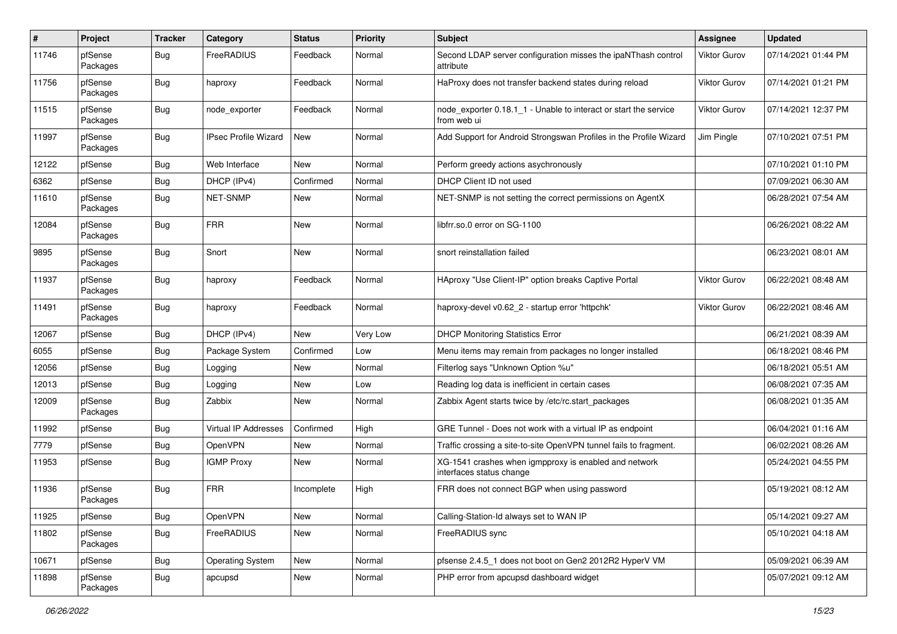| $\pmb{\#}$ | Project             | <b>Tracker</b> | Category                    | <b>Status</b> | <b>Priority</b> | Subject                                                                           | <b>Assignee</b> | <b>Updated</b>      |
|------------|---------------------|----------------|-----------------------------|---------------|-----------------|-----------------------------------------------------------------------------------|-----------------|---------------------|
| 11746      | pfSense<br>Packages | Bug            | FreeRADIUS                  | Feedback      | Normal          | Second LDAP server configuration misses the ipaNThash control<br>attribute        | Viktor Gurov    | 07/14/2021 01:44 PM |
| 11756      | pfSense<br>Packages | Bug            | haproxy                     | Feedback      | Normal          | HaProxy does not transfer backend states during reload                            | Viktor Gurov    | 07/14/2021 01:21 PM |
| 11515      | pfSense<br>Packages | <b>Bug</b>     | node exporter               | Feedback      | Normal          | node exporter 0.18.1 1 - Unable to interact or start the service<br>from web ui   | Viktor Gurov    | 07/14/2021 12:37 PM |
| 11997      | pfSense<br>Packages | Bug            | <b>IPsec Profile Wizard</b> | New           | Normal          | Add Support for Android Strongswan Profiles in the Profile Wizard                 | Jim Pingle      | 07/10/2021 07:51 PM |
| 12122      | pfSense             | <b>Bug</b>     | Web Interface               | New           | Normal          | Perform greedy actions asychronously                                              |                 | 07/10/2021 01:10 PM |
| 6362       | pfSense             | <b>Bug</b>     | DHCP (IPv4)                 | Confirmed     | Normal          | DHCP Client ID not used                                                           |                 | 07/09/2021 06:30 AM |
| 11610      | pfSense<br>Packages | Bug            | NET-SNMP                    | New           | Normal          | NET-SNMP is not setting the correct permissions on AgentX                         |                 | 06/28/2021 07:54 AM |
| 12084      | pfSense<br>Packages | <b>Bug</b>     | <b>FRR</b>                  | New           | Normal          | libfrr.so.0 error on SG-1100                                                      |                 | 06/26/2021 08:22 AM |
| 9895       | pfSense<br>Packages | Bug            | Snort                       | New           | Normal          | snort reinstallation failed                                                       |                 | 06/23/2021 08:01 AM |
| 11937      | pfSense<br>Packages | Bug            | haproxy                     | Feedback      | Normal          | HAproxy "Use Client-IP" option breaks Captive Portal                              | Viktor Gurov    | 06/22/2021 08:48 AM |
| 11491      | pfSense<br>Packages | <b>Bug</b>     | haproxy                     | Feedback      | Normal          | haproxy-devel v0.62_2 - startup error 'httpchk'                                   | Viktor Gurov    | 06/22/2021 08:46 AM |
| 12067      | pfSense             | Bug            | DHCP (IPv4)                 | New           | Very Low        | <b>DHCP Monitoring Statistics Error</b>                                           |                 | 06/21/2021 08:39 AM |
| 6055       | pfSense             | Bug            | Package System              | Confirmed     | Low             | Menu items may remain from packages no longer installed                           |                 | 06/18/2021 08:46 PM |
| 12056      | pfSense             | Bug            | Logging                     | New           | Normal          | Filterlog says "Unknown Option %u"                                                |                 | 06/18/2021 05:51 AM |
| 12013      | pfSense             | <b>Bug</b>     | Logging                     | New           | Low             | Reading log data is inefficient in certain cases                                  |                 | 06/08/2021 07:35 AM |
| 12009      | pfSense<br>Packages | Bug            | Zabbix                      | New           | Normal          | Zabbix Agent starts twice by /etc/rc.start_packages                               |                 | 06/08/2021 01:35 AM |
| 11992      | pfSense             | <b>Bug</b>     | <b>Virtual IP Addresses</b> | Confirmed     | High            | GRE Tunnel - Does not work with a virtual IP as endpoint                          |                 | 06/04/2021 01:16 AM |
| 7779       | pfSense             | Bug            | OpenVPN                     | New           | Normal          | Traffic crossing a site-to-site OpenVPN tunnel fails to fragment.                 |                 | 06/02/2021 08:26 AM |
| 11953      | pfSense             | <b>Bug</b>     | <b>IGMP Proxy</b>           | New           | Normal          | XG-1541 crashes when igmpproxy is enabled and network<br>interfaces status change |                 | 05/24/2021 04:55 PM |
| 11936      | pfSense<br>Packages | <b>Bug</b>     | <b>FRR</b>                  | Incomplete    | High            | FRR does not connect BGP when using password                                      |                 | 05/19/2021 08:12 AM |
| 11925      | pfSense             | Bug            | OpenVPN                     | New           | Normal          | Calling-Station-Id always set to WAN IP                                           |                 | 05/14/2021 09:27 AM |
| 11802      | pfSense<br>Packages | <b>Bug</b>     | FreeRADIUS                  | New           | Normal          | FreeRADIUS sync                                                                   |                 | 05/10/2021 04:18 AM |
| 10671      | pfSense             | <b>Bug</b>     | <b>Operating System</b>     | New           | Normal          | pfsense 2.4.5_1 does not boot on Gen2 2012R2 HyperV VM                            |                 | 05/09/2021 06:39 AM |
| 11898      | pfSense<br>Packages | <b>Bug</b>     | apcupsd                     | New           | Normal          | PHP error from apcupsd dashboard widget                                           |                 | 05/07/2021 09:12 AM |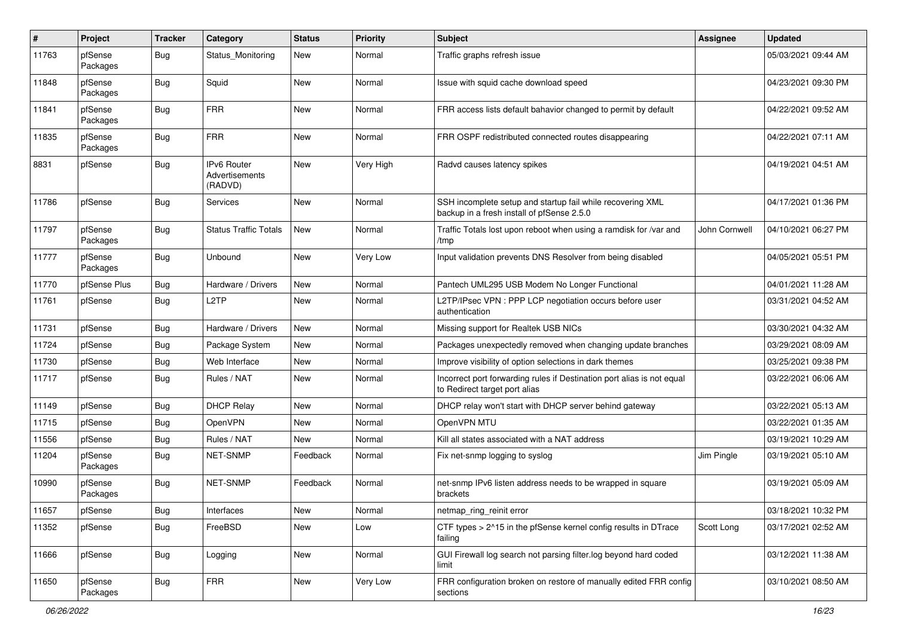| $\pmb{\#}$ | Project             | <b>Tracker</b> | Category                                 | <b>Status</b> | <b>Priority</b> | Subject                                                                                                  | <b>Assignee</b> | <b>Updated</b>      |
|------------|---------------------|----------------|------------------------------------------|---------------|-----------------|----------------------------------------------------------------------------------------------------------|-----------------|---------------------|
| 11763      | pfSense<br>Packages | Bug            | Status Monitoring                        | New           | Normal          | Traffic graphs refresh issue                                                                             |                 | 05/03/2021 09:44 AM |
| 11848      | pfSense<br>Packages | Bug            | Squid                                    | New           | Normal          | Issue with squid cache download speed                                                                    |                 | 04/23/2021 09:30 PM |
| 11841      | pfSense<br>Packages | <b>Bug</b>     | <b>FRR</b>                               | New           | Normal          | FRR access lists default bahavior changed to permit by default                                           |                 | 04/22/2021 09:52 AM |
| 11835      | pfSense<br>Packages | Bug            | <b>FRR</b>                               | New           | Normal          | FRR OSPF redistributed connected routes disappearing                                                     |                 | 04/22/2021 07:11 AM |
| 8831       | pfSense             | Bug            | IPv6 Router<br>Advertisements<br>(RADVD) | New           | Very High       | Radvd causes latency spikes                                                                              |                 | 04/19/2021 04:51 AM |
| 11786      | pfSense             | Bug            | Services                                 | New           | Normal          | SSH incomplete setup and startup fail while recovering XML<br>backup in a fresh install of pfSense 2.5.0 |                 | 04/17/2021 01:36 PM |
| 11797      | pfSense<br>Packages | <b>Bug</b>     | Status Traffic Totals                    | New           | Normal          | Traffic Totals lost upon reboot when using a ramdisk for /var and<br>/tmp                                | John Cornwell   | 04/10/2021 06:27 PM |
| 11777      | pfSense<br>Packages | <b>Bug</b>     | Unbound                                  | New           | Very Low        | Input validation prevents DNS Resolver from being disabled                                               |                 | 04/05/2021 05:51 PM |
| 11770      | pfSense Plus        | Bug            | Hardware / Drivers                       | New           | Normal          | Pantech UML295 USB Modem No Longer Functional                                                            |                 | 04/01/2021 11:28 AM |
| 11761      | pfSense             | Bug            | L <sub>2</sub> TP                        | New           | Normal          | L2TP/IPsec VPN : PPP LCP negotiation occurs before user<br>authentication                                |                 | 03/31/2021 04:52 AM |
| 11731      | pfSense             | Bug            | Hardware / Drivers                       | <b>New</b>    | Normal          | Missing support for Realtek USB NICs                                                                     |                 | 03/30/2021 04:32 AM |
| 11724      | pfSense             | Bug            | Package System                           | New           | Normal          | Packages unexpectedly removed when changing update branches                                              |                 | 03/29/2021 08:09 AM |
| 11730      | pfSense             | <b>Bug</b>     | Web Interface                            | New           | Normal          | Improve visibility of option selections in dark themes                                                   |                 | 03/25/2021 09:38 PM |
| 11717      | pfSense             | Bug            | Rules / NAT                              | New           | Normal          | Incorrect port forwarding rules if Destination port alias is not equal<br>to Redirect target port alias  |                 | 03/22/2021 06:06 AM |
| 11149      | pfSense             | <b>Bug</b>     | <b>DHCP Relay</b>                        | New           | Normal          | DHCP relay won't start with DHCP server behind gateway                                                   |                 | 03/22/2021 05:13 AM |
| 11715      | pfSense             | <b>Bug</b>     | <b>OpenVPN</b>                           | New           | Normal          | OpenVPN MTU                                                                                              |                 | 03/22/2021 01:35 AM |
| 11556      | pfSense             | <b>Bug</b>     | Rules / NAT                              | New           | Normal          | Kill all states associated with a NAT address                                                            |                 | 03/19/2021 10:29 AM |
| 11204      | pfSense<br>Packages | <b>Bug</b>     | <b>NET-SNMP</b>                          | Feedback      | Normal          | Fix net-snmp logging to syslog                                                                           | Jim Pingle      | 03/19/2021 05:10 AM |
| 10990      | pfSense<br>Packages | <b>Bug</b>     | <b>NET-SNMP</b>                          | Feedback      | Normal          | net-snmp IPv6 listen address needs to be wrapped in square<br>brackets                                   |                 | 03/19/2021 05:09 AM |
| 11657      | pfSense             | <b>Bug</b>     | Interfaces                               | New           | Normal          | netmap_ring_reinit error                                                                                 |                 | 03/18/2021 10:32 PM |
| 11352      | pfSense             | <b>Bug</b>     | FreeBSD                                  | New           | Low             | CTF types > 2^15 in the pfSense kernel config results in DTrace<br>failing                               | Scott Long      | 03/17/2021 02:52 AM |
| 11666      | pfSense             | <b>Bug</b>     | Logging                                  | New           | Normal          | GUI Firewall log search not parsing filter.log beyond hard coded<br>limit                                |                 | 03/12/2021 11:38 AM |
| 11650      | pfSense<br>Packages | Bug            | <b>FRR</b>                               | New           | Very Low        | FRR configuration broken on restore of manually edited FRR config<br>sections                            |                 | 03/10/2021 08:50 AM |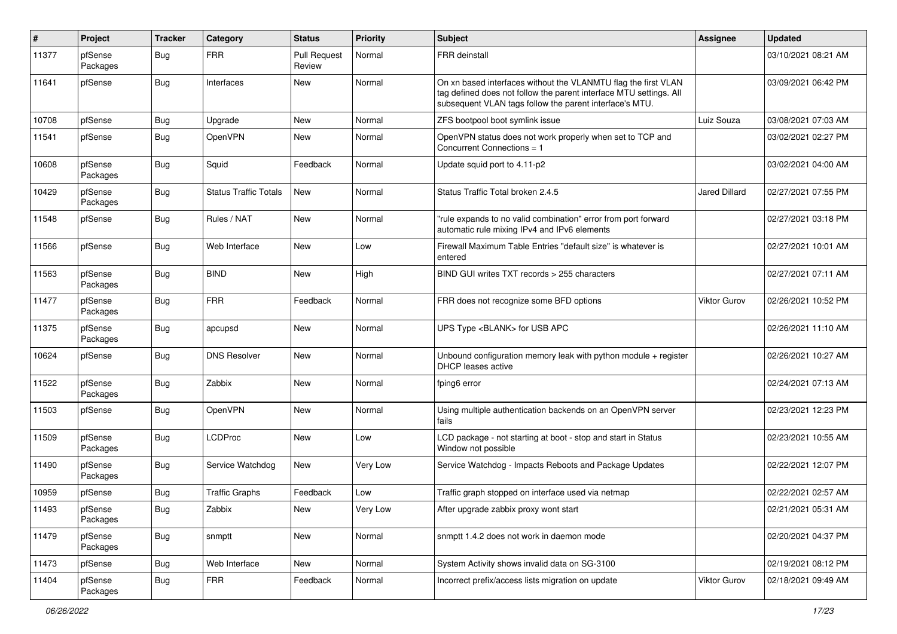| $\pmb{\#}$ | Project             | <b>Tracker</b> | Category                     | <b>Status</b>                 | <b>Priority</b> | <b>Subject</b>                                                                                                                                                                                  | <b>Assignee</b>      | <b>Updated</b>      |
|------------|---------------------|----------------|------------------------------|-------------------------------|-----------------|-------------------------------------------------------------------------------------------------------------------------------------------------------------------------------------------------|----------------------|---------------------|
| 11377      | pfSense<br>Packages | Bug            | <b>FRR</b>                   | <b>Pull Request</b><br>Review | Normal          | FRR deinstall                                                                                                                                                                                   |                      | 03/10/2021 08:21 AM |
| 11641      | pfSense             | Bug            | Interfaces                   | New                           | Normal          | On xn based interfaces without the VLANMTU flag the first VLAN<br>tag defined does not follow the parent interface MTU settings. All<br>subsequent VLAN tags follow the parent interface's MTU. |                      | 03/09/2021 06:42 PM |
| 10708      | pfSense             | Bug            | Upgrade                      | New                           | Normal          | ZFS bootpool boot symlink issue                                                                                                                                                                 | Luiz Souza           | 03/08/2021 07:03 AM |
| 11541      | pfSense             | Bug            | OpenVPN                      | New                           | Normal          | OpenVPN status does not work properly when set to TCP and<br>Concurrent Connections = 1                                                                                                         |                      | 03/02/2021 02:27 PM |
| 10608      | pfSense<br>Packages | Bug            | Squid                        | Feedback                      | Normal          | Update squid port to 4.11-p2                                                                                                                                                                    |                      | 03/02/2021 04:00 AM |
| 10429      | pfSense<br>Packages | <b>Bug</b>     | <b>Status Traffic Totals</b> | New                           | Normal          | Status Traffic Total broken 2.4.5                                                                                                                                                               | <b>Jared Dillard</b> | 02/27/2021 07:55 PM |
| 11548      | pfSense             | <b>Bug</b>     | Rules / NAT                  | New                           | Normal          | "rule expands to no valid combination" error from port forward<br>automatic rule mixing IPv4 and IPv6 elements                                                                                  |                      | 02/27/2021 03:18 PM |
| 11566      | pfSense             | Bug            | Web Interface                | New                           | Low             | Firewall Maximum Table Entries "default size" is whatever is<br>entered                                                                                                                         |                      | 02/27/2021 10:01 AM |
| 11563      | pfSense<br>Packages | <b>Bug</b>     | <b>BIND</b>                  | New                           | High            | BIND GUI writes TXT records > 255 characters                                                                                                                                                    |                      | 02/27/2021 07:11 AM |
| 11477      | pfSense<br>Packages | <b>Bug</b>     | <b>FRR</b>                   | Feedback                      | Normal          | FRR does not recognize some BFD options                                                                                                                                                         | Viktor Gurov         | 02/26/2021 10:52 PM |
| 11375      | pfSense<br>Packages | Bug            | apcupsd                      | New                           | Normal          | UPS Type <blank> for USB APC</blank>                                                                                                                                                            |                      | 02/26/2021 11:10 AM |
| 10624      | pfSense             | Bug            | <b>DNS Resolver</b>          | New                           | Normal          | Unbound configuration memory leak with python module $+$ register<br>DHCP leases active                                                                                                         |                      | 02/26/2021 10:27 AM |
| 11522      | pfSense<br>Packages | Bug            | Zabbix                       | New                           | Normal          | fping6 error                                                                                                                                                                                    |                      | 02/24/2021 07:13 AM |
| 11503      | pfSense             | <b>Bug</b>     | OpenVPN                      | New                           | Normal          | Using multiple authentication backends on an OpenVPN server<br>fails                                                                                                                            |                      | 02/23/2021 12:23 PM |
| 11509      | pfSense<br>Packages | Bug            | <b>LCDProc</b>               | New                           | Low             | LCD package - not starting at boot - stop and start in Status<br>Window not possible                                                                                                            |                      | 02/23/2021 10:55 AM |
| 11490      | pfSense<br>Packages | Bug            | Service Watchdog             | New                           | Very Low        | Service Watchdog - Impacts Reboots and Package Updates                                                                                                                                          |                      | 02/22/2021 12:07 PM |
| 10959      | pfSense             | <b>Bug</b>     | <b>Traffic Graphs</b>        | Feedback                      | Low             | Traffic graph stopped on interface used via netmap                                                                                                                                              |                      | 02/22/2021 02:57 AM |
| 11493      | pfSense<br>Packages | <b>Bug</b>     | Zabbix                       | New                           | Very Low        | After upgrade zabbix proxy wont start                                                                                                                                                           |                      | 02/21/2021 05:31 AM |
| 11479      | pfSense<br>Packages | <b>Bug</b>     | snmptt                       | New                           | Normal          | snmptt 1.4.2 does not work in daemon mode                                                                                                                                                       |                      | 02/20/2021 04:37 PM |
| 11473      | pfSense             | <b>Bug</b>     | Web Interface                | New                           | Normal          | System Activity shows invalid data on SG-3100                                                                                                                                                   |                      | 02/19/2021 08:12 PM |
| 11404      | pfSense<br>Packages | <b>Bug</b>     | <b>FRR</b>                   | Feedback                      | Normal          | Incorrect prefix/access lists migration on update                                                                                                                                               | Viktor Gurov         | 02/18/2021 09:49 AM |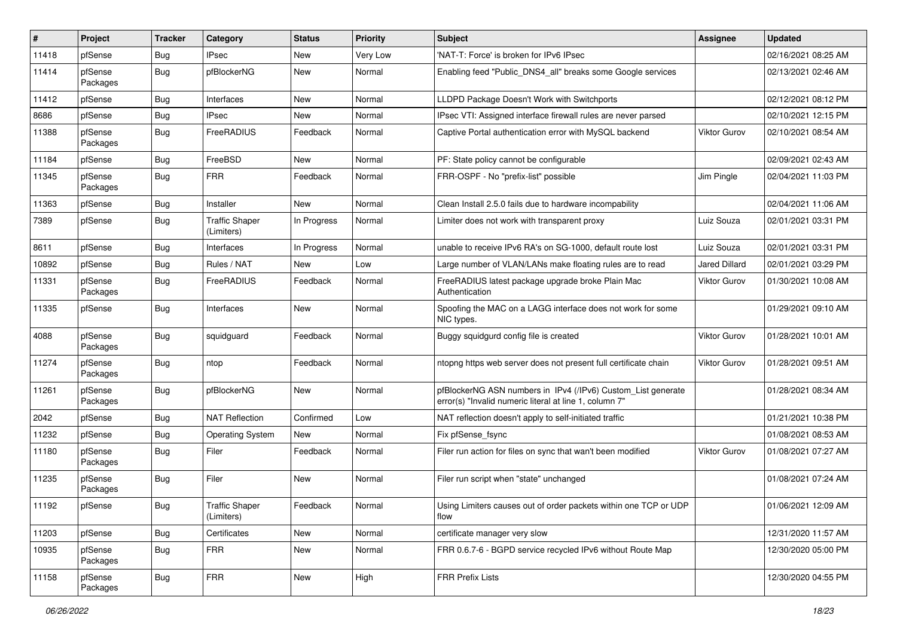| $\vert$ # | Project             | <b>Tracker</b> | Category                            | <b>Status</b> | <b>Priority</b> | <b>Subject</b>                                                                                                         | <b>Assignee</b>      | <b>Updated</b>      |
|-----------|---------------------|----------------|-------------------------------------|---------------|-----------------|------------------------------------------------------------------------------------------------------------------------|----------------------|---------------------|
| 11418     | pfSense             | Bug            | <b>IPsec</b>                        | New           | Very Low        | 'NAT-T: Force' is broken for IPv6 IPsec                                                                                |                      | 02/16/2021 08:25 AM |
| 11414     | pfSense<br>Packages | Bug            | pfBlockerNG                         | New           | Normal          | Enabling feed "Public_DNS4_all" breaks some Google services                                                            |                      | 02/13/2021 02:46 AM |
| 11412     | pfSense             | Bug            | Interfaces                          | New           | Normal          | LLDPD Package Doesn't Work with Switchports                                                                            |                      | 02/12/2021 08:12 PM |
| 8686      | pfSense             | Bug            | <b>IPsec</b>                        | New           | Normal          | IPsec VTI: Assigned interface firewall rules are never parsed                                                          |                      | 02/10/2021 12:15 PM |
| 11388     | pfSense<br>Packages | <b>Bug</b>     | FreeRADIUS                          | Feedback      | Normal          | Captive Portal authentication error with MySQL backend                                                                 | Viktor Gurov         | 02/10/2021 08:54 AM |
| 11184     | pfSense             | <b>Bug</b>     | FreeBSD                             | <b>New</b>    | Normal          | PF: State policy cannot be configurable                                                                                |                      | 02/09/2021 02:43 AM |
| 11345     | pfSense<br>Packages | Bug            | <b>FRR</b>                          | Feedback      | Normal          | FRR-OSPF - No "prefix-list" possible                                                                                   | Jim Pingle           | 02/04/2021 11:03 PM |
| 11363     | pfSense             | Bug            | Installer                           | New           | Normal          | Clean Install 2.5.0 fails due to hardware incompability                                                                |                      | 02/04/2021 11:06 AM |
| 7389      | pfSense             | Bug            | <b>Traffic Shaper</b><br>(Limiters) | In Progress   | Normal          | Limiter does not work with transparent proxy                                                                           | Luiz Souza           | 02/01/2021 03:31 PM |
| 8611      | pfSense             | <b>Bug</b>     | Interfaces                          | In Progress   | Normal          | unable to receive IPv6 RA's on SG-1000, default route lost                                                             | Luiz Souza           | 02/01/2021 03:31 PM |
| 10892     | pfSense             | Bug            | Rules / NAT                         | New           | Low             | Large number of VLAN/LANs make floating rules are to read                                                              | <b>Jared Dillard</b> | 02/01/2021 03:29 PM |
| 11331     | pfSense<br>Packages | <b>Bug</b>     | FreeRADIUS                          | Feedback      | Normal          | FreeRADIUS latest package upgrade broke Plain Mac<br>Authentication                                                    | <b>Viktor Gurov</b>  | 01/30/2021 10:08 AM |
| 11335     | pfSense             | <b>Bug</b>     | Interfaces                          | New           | Normal          | Spoofing the MAC on a LAGG interface does not work for some<br>NIC types.                                              |                      | 01/29/2021 09:10 AM |
| 4088      | pfSense<br>Packages | Bug            | squidguard                          | Feedback      | Normal          | Buggy squidgurd config file is created                                                                                 | Viktor Gurov         | 01/28/2021 10:01 AM |
| 11274     | pfSense<br>Packages | <b>Bug</b>     | ntop                                | Feedback      | Normal          | ntopng https web server does not present full certificate chain                                                        | Viktor Gurov         | 01/28/2021 09:51 AM |
| 11261     | pfSense<br>Packages | <b>Bug</b>     | pfBlockerNG                         | New           | Normal          | pfBlockerNG ASN numbers in IPv4 (/IPv6) Custom_List generate<br>error(s) "Invalid numeric literal at line 1, column 7" |                      | 01/28/2021 08:34 AM |
| 2042      | pfSense             | <b>Bug</b>     | <b>NAT Reflection</b>               | Confirmed     | Low             | NAT reflection doesn't apply to self-initiated traffic                                                                 |                      | 01/21/2021 10:38 PM |
| 11232     | pfSense             | <b>Bug</b>     | <b>Operating System</b>             | New           | Normal          | Fix pfSense_fsync                                                                                                      |                      | 01/08/2021 08:53 AM |
| 11180     | pfSense<br>Packages | Bug            | Filer                               | Feedback      | Normal          | Filer run action for files on sync that wan't been modified                                                            | Viktor Gurov         | 01/08/2021 07:27 AM |
| 11235     | pfSense<br>Packages | <b>Bug</b>     | Filer                               | New           | Normal          | Filer run script when "state" unchanged                                                                                |                      | 01/08/2021 07:24 AM |
| 11192     | pfSense             | <b>Bug</b>     | <b>Traffic Shaper</b><br>(Limiters) | Feedback      | Normal          | Using Limiters causes out of order packets within one TCP or UDP<br>flow                                               |                      | 01/06/2021 12:09 AM |
| 11203     | pfSense             | Bug            | Certificates                        | New           | Normal          | certificate manager very slow                                                                                          |                      | 12/31/2020 11:57 AM |
| 10935     | pfSense<br>Packages | <b>Bug</b>     | <b>FRR</b>                          | New           | Normal          | FRR 0.6.7-6 - BGPD service recycled IPv6 without Route Map                                                             |                      | 12/30/2020 05:00 PM |
| 11158     | pfSense<br>Packages | <b>Bug</b>     | <b>FRR</b>                          | New           | High            | <b>FRR Prefix Lists</b>                                                                                                |                      | 12/30/2020 04:55 PM |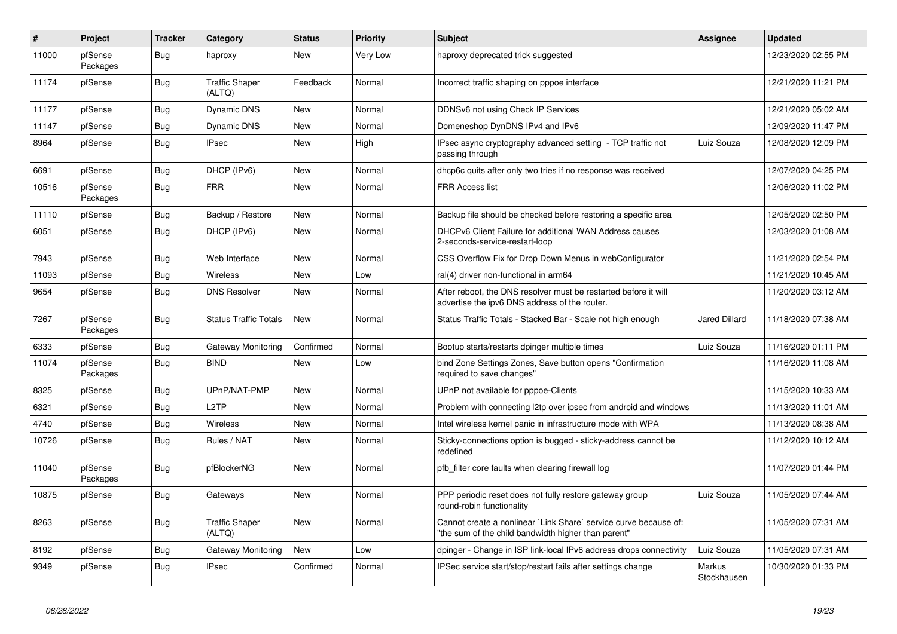| $\sharp$ | Project             | <b>Tracker</b> | Category                        | <b>Status</b> | Priority | <b>Subject</b>                                                                                                          | <b>Assignee</b>       | <b>Updated</b>      |
|----------|---------------------|----------------|---------------------------------|---------------|----------|-------------------------------------------------------------------------------------------------------------------------|-----------------------|---------------------|
| 11000    | pfSense<br>Packages | <b>Bug</b>     | haproxy                         | New           | Very Low | haproxy deprecated trick suggested                                                                                      |                       | 12/23/2020 02:55 PM |
| 11174    | pfSense             | Bug            | <b>Traffic Shaper</b><br>(ALTQ) | Feedback      | Normal   | Incorrect traffic shaping on pppoe interface                                                                            |                       | 12/21/2020 11:21 PM |
| 11177    | pfSense             | <b>Bug</b>     | Dynamic DNS                     | New           | Normal   | DDNSv6 not using Check IP Services                                                                                      |                       | 12/21/2020 05:02 AM |
| 11147    | pfSense             | <b>Bug</b>     | <b>Dynamic DNS</b>              | New           | Normal   | Domeneshop DynDNS IPv4 and IPv6                                                                                         |                       | 12/09/2020 11:47 PM |
| 8964     | pfSense             | <b>Bug</b>     | <b>IPsec</b>                    | <b>New</b>    | High     | IPsec async cryptography advanced setting - TCP traffic not<br>passing through                                          | Luiz Souza            | 12/08/2020 12:09 PM |
| 6691     | pfSense             | Bug            | DHCP (IPv6)                     | New           | Normal   | dhcp6c quits after only two tries if no response was received                                                           |                       | 12/07/2020 04:25 PM |
| 10516    | pfSense<br>Packages | Bug            | <b>FRR</b>                      | New           | Normal   | <b>FRR Access list</b>                                                                                                  |                       | 12/06/2020 11:02 PM |
| 11110    | pfSense             | <b>Bug</b>     | Backup / Restore                | New           | Normal   | Backup file should be checked before restoring a specific area                                                          |                       | 12/05/2020 02:50 PM |
| 6051     | pfSense             | Bug            | DHCP (IPv6)                     | New           | Normal   | DHCPv6 Client Failure for additional WAN Address causes<br>2-seconds-service-restart-loop                               |                       | 12/03/2020 01:08 AM |
| 7943     | pfSense             | <b>Bug</b>     | Web Interface                   | <b>New</b>    | Normal   | CSS Overflow Fix for Drop Down Menus in webConfigurator                                                                 |                       | 11/21/2020 02:54 PM |
| 11093    | pfSense             | Bug            | Wireless                        | New           | Low      | ral(4) driver non-functional in arm64                                                                                   |                       | 11/21/2020 10:45 AM |
| 9654     | pfSense             | Bug            | <b>DNS Resolver</b>             | <b>New</b>    | Normal   | After reboot, the DNS resolver must be restarted before it will<br>advertise the ipv6 DNS address of the router.        |                       | 11/20/2020 03:12 AM |
| 7267     | pfSense<br>Packages | Bug            | <b>Status Traffic Totals</b>    | New           | Normal   | Status Traffic Totals - Stacked Bar - Scale not high enough                                                             | Jared Dillard         | 11/18/2020 07:38 AM |
| 6333     | pfSense             | <b>Bug</b>     | Gateway Monitoring              | Confirmed     | Normal   | Bootup starts/restarts dpinger multiple times                                                                           | Luiz Souza            | 11/16/2020 01:11 PM |
| 11074    | pfSense<br>Packages | <b>Bug</b>     | <b>BIND</b>                     | New           | Low      | bind Zone Settings Zones, Save button opens "Confirmation<br>required to save changes"                                  |                       | 11/16/2020 11:08 AM |
| 8325     | pfSense             | <b>Bug</b>     | UPnP/NAT-PMP                    | New           | Normal   | UPnP not available for pppoe-Clients                                                                                    |                       | 11/15/2020 10:33 AM |
| 6321     | pfSense             | <b>Bug</b>     | L <sub>2</sub> TP               | New           | Normal   | Problem with connecting I2tp over ipsec from android and windows                                                        |                       | 11/13/2020 11:01 AM |
| 4740     | pfSense             | Bug            | Wireless                        | New           | Normal   | Intel wireless kernel panic in infrastructure mode with WPA                                                             |                       | 11/13/2020 08:38 AM |
| 10726    | pfSense             | Bug            | Rules / NAT                     | New           | Normal   | Sticky-connections option is bugged - sticky-address cannot be<br>redefined                                             |                       | 11/12/2020 10:12 AM |
| 11040    | pfSense<br>Packages | Bug            | pfBlockerNG                     | New           | Normal   | pfb_filter core faults when clearing firewall log                                                                       |                       | 11/07/2020 01:44 PM |
| 10875    | pfSense             | Bug            | Gateways                        | New           | Normal   | PPP periodic reset does not fully restore gateway group<br>round-robin functionality                                    | Luiz Souza            | 11/05/2020 07:44 AM |
| 8263     | pfSense             | <b>Bug</b>     | <b>Traffic Shaper</b><br>(ALTQ) | <b>New</b>    | Normal   | Cannot create a nonlinear 'Link Share' service curve because of:<br>"the sum of the child bandwidth higher than parent" |                       | 11/05/2020 07:31 AM |
| 8192     | pfSense             | <b>Bug</b>     | Gateway Monitoring              | New           | Low      | dpinger - Change in ISP link-local IPv6 address drops connectivity                                                      | Luiz Souza            | 11/05/2020 07:31 AM |
| 9349     | pfSense             | Bug            | <b>IPsec</b>                    | Confirmed     | Normal   | IPSec service start/stop/restart fails after settings change                                                            | Markus<br>Stockhausen | 10/30/2020 01:33 PM |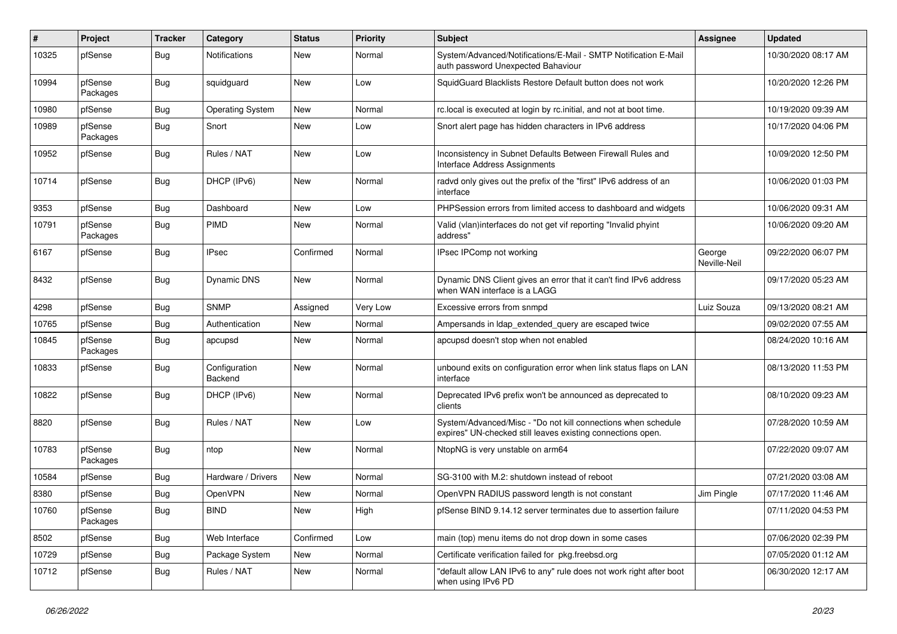| #     | Project             | <b>Tracker</b> | Category                 | <b>Status</b> | <b>Priority</b> | <b>Subject</b>                                                                                                               | <b>Assignee</b>        | <b>Updated</b>      |
|-------|---------------------|----------------|--------------------------|---------------|-----------------|------------------------------------------------------------------------------------------------------------------------------|------------------------|---------------------|
| 10325 | pfSense             | <b>Bug</b>     | Notifications            | New           | Normal          | System/Advanced/Notifications/E-Mail - SMTP Notification E-Mail<br>auth password Unexpected Bahaviour                        |                        | 10/30/2020 08:17 AM |
| 10994 | pfSense<br>Packages | <b>Bug</b>     | squidguard               | New           | Low             | SquidGuard Blacklists Restore Default button does not work                                                                   |                        | 10/20/2020 12:26 PM |
| 10980 | pfSense             | <b>Bug</b>     | <b>Operating System</b>  | New           | Normal          | rc.local is executed at login by rc.initial, and not at boot time.                                                           |                        | 10/19/2020 09:39 AM |
| 10989 | pfSense<br>Packages | <b>Bug</b>     | Snort                    | New           | Low             | Snort alert page has hidden characters in IPv6 address                                                                       |                        | 10/17/2020 04:06 PM |
| 10952 | pfSense             | <b>Bug</b>     | Rules / NAT              | <b>New</b>    | Low             | Inconsistency in Subnet Defaults Between Firewall Rules and<br>Interface Address Assignments                                 |                        | 10/09/2020 12:50 PM |
| 10714 | pfSense             | <b>Bug</b>     | DHCP (IPv6)              | New           | Normal          | radvd only gives out the prefix of the "first" IPv6 address of an<br>interface                                               |                        | 10/06/2020 01:03 PM |
| 9353  | pfSense             | <b>Bug</b>     | Dashboard                | New           | Low             | PHPSession errors from limited access to dashboard and widgets                                                               |                        | 10/06/2020 09:31 AM |
| 10791 | pfSense<br>Packages | <b>Bug</b>     | PIMD                     | New           | Normal          | Valid (vlan)interfaces do not get vif reporting "Invalid phyint<br>address"                                                  |                        | 10/06/2020 09:20 AM |
| 6167  | pfSense             | <b>Bug</b>     | <b>IPsec</b>             | Confirmed     | Normal          | IPsec IPComp not working                                                                                                     | George<br>Neville-Neil | 09/22/2020 06:07 PM |
| 8432  | pfSense             | <b>Bug</b>     | Dynamic DNS              | New           | Normal          | Dynamic DNS Client gives an error that it can't find IPv6 address<br>when WAN interface is a LAGG                            |                        | 09/17/2020 05:23 AM |
| 4298  | pfSense             | <b>Bug</b>     | <b>SNMP</b>              | Assigned      | Very Low        | Excessive errors from snmpd                                                                                                  | Luiz Souza             | 09/13/2020 08:21 AM |
| 10765 | pfSense             | <b>Bug</b>     | Authentication           | New           | Normal          | Ampersands in Idap extended query are escaped twice                                                                          |                        | 09/02/2020 07:55 AM |
| 10845 | pfSense<br>Packages | <b>Bug</b>     | apcupsd                  | New           | Normal          | apcupsd doesn't stop when not enabled                                                                                        |                        | 08/24/2020 10:16 AM |
| 10833 | pfSense             | <b>Bug</b>     | Configuration<br>Backend | New           | Normal          | unbound exits on configuration error when link status flaps on LAN<br>interface                                              |                        | 08/13/2020 11:53 PM |
| 10822 | pfSense             | <b>Bug</b>     | DHCP (IPv6)              | New           | Normal          | Deprecated IPv6 prefix won't be announced as deprecated to<br>clients                                                        |                        | 08/10/2020 09:23 AM |
| 8820  | pfSense             | <b>Bug</b>     | Rules / NAT              | New           | Low             | System/Advanced/Misc - "Do not kill connections when schedule<br>expires" UN-checked still leaves existing connections open. |                        | 07/28/2020 10:59 AM |
| 10783 | pfSense<br>Packages | <b>Bug</b>     | ntop                     | New           | Normal          | NtopNG is very unstable on arm64                                                                                             |                        | 07/22/2020 09:07 AM |
| 10584 | pfSense             | <b>Bug</b>     | Hardware / Drivers       | New           | Normal          | SG-3100 with M.2: shutdown instead of reboot                                                                                 |                        | 07/21/2020 03:08 AM |
| 8380  | pfSense             | <b>Bug</b>     | OpenVPN                  | New           | Normal          | OpenVPN RADIUS password length is not constant                                                                               | Jim Pingle             | 07/17/2020 11:46 AM |
| 10760 | pfSense<br>Packages | <b>Bug</b>     | <b>BIND</b>              | New           | High            | pfSense BIND 9.14.12 server terminates due to assertion failure                                                              |                        | 07/11/2020 04:53 PM |
| 8502  | pfSense             | <b>Bug</b>     | Web Interface            | Confirmed     | Low             | main (top) menu items do not drop down in some cases                                                                         |                        | 07/06/2020 02:39 PM |
| 10729 | pfSense             | <b>Bug</b>     | Package System           | New           | Normal          | Certificate verification failed for pkg.freebsd.org                                                                          |                        | 07/05/2020 01:12 AM |
| 10712 | pfSense             | <b>Bug</b>     | Rules / NAT              | New           | Normal          | "default allow LAN IPv6 to any" rule does not work right after boot<br>when using IPv6 PD                                    |                        | 06/30/2020 12:17 AM |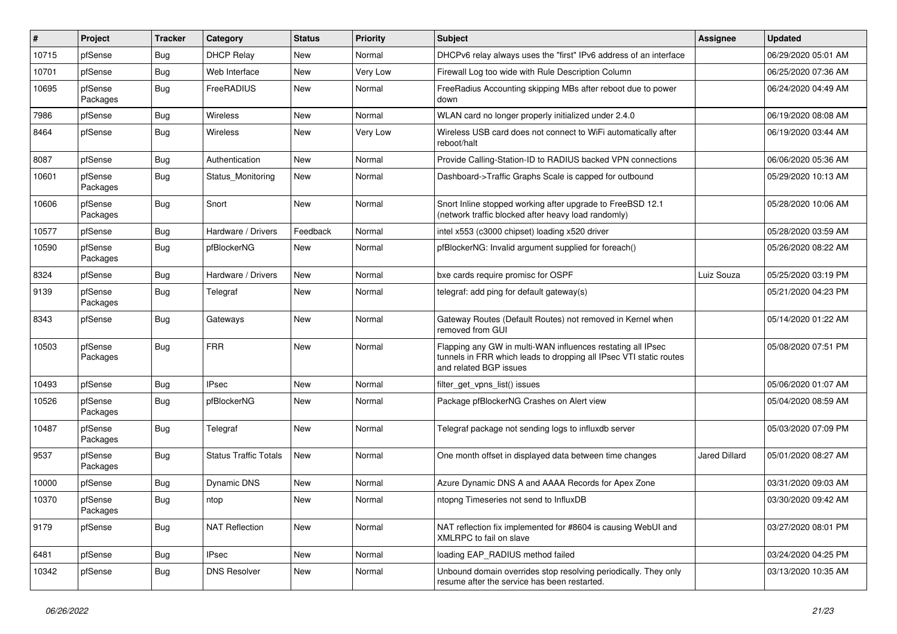| #     | Project             | <b>Tracker</b> | Category                     | <b>Status</b> | <b>Priority</b> | <b>Subject</b>                                                                                                                                              | <b>Assignee</b> | <b>Updated</b>      |
|-------|---------------------|----------------|------------------------------|---------------|-----------------|-------------------------------------------------------------------------------------------------------------------------------------------------------------|-----------------|---------------------|
| 10715 | pfSense             | Bug            | <b>DHCP Relay</b>            | New           | Normal          | DHCPv6 relay always uses the "first" IPv6 address of an interface                                                                                           |                 | 06/29/2020 05:01 AM |
| 10701 | pfSense             | Bug            | Web Interface                | New           | Very Low        | Firewall Log too wide with Rule Description Column                                                                                                          |                 | 06/25/2020 07:36 AM |
| 10695 | pfSense<br>Packages | <b>Bug</b>     | FreeRADIUS                   | New           | Normal          | Free Radius Accounting skipping MBs after reboot due to power<br>down                                                                                       |                 | 06/24/2020 04:49 AM |
| 7986  | pfSense             | <b>Bug</b>     | Wireless                     | New           | Normal          | WLAN card no longer properly initialized under 2.4.0                                                                                                        |                 | 06/19/2020 08:08 AM |
| 8464  | pfSense             | <b>Bug</b>     | Wireless                     | New           | Very Low        | Wireless USB card does not connect to WiFi automatically after<br>reboot/halt                                                                               |                 | 06/19/2020 03:44 AM |
| 8087  | pfSense             | Bug            | Authentication               | <b>New</b>    | Normal          | Provide Calling-Station-ID to RADIUS backed VPN connections                                                                                                 |                 | 06/06/2020 05:36 AM |
| 10601 | pfSense<br>Packages | Bug            | Status Monitoring            | New           | Normal          | Dashboard->Traffic Graphs Scale is capped for outbound                                                                                                      |                 | 05/29/2020 10:13 AM |
| 10606 | pfSense<br>Packages | <b>Bug</b>     | Snort                        | New           | Normal          | Snort Inline stopped working after upgrade to FreeBSD 12.1<br>(network traffic blocked after heavy load randomly)                                           |                 | 05/28/2020 10:06 AM |
| 10577 | pfSense             | <b>Bug</b>     | Hardware / Drivers           | Feedback      | Normal          | intel x553 (c3000 chipset) loading x520 driver                                                                                                              |                 | 05/28/2020 03:59 AM |
| 10590 | pfSense<br>Packages | Bug            | pfBlockerNG                  | New           | Normal          | pfBlockerNG: Invalid argument supplied for foreach()                                                                                                        |                 | 05/26/2020 08:22 AM |
| 8324  | pfSense             | <b>Bug</b>     | Hardware / Drivers           | <b>New</b>    | Normal          | bxe cards require promisc for OSPF                                                                                                                          | Luiz Souza      | 05/25/2020 03:19 PM |
| 9139  | pfSense<br>Packages | <b>Bug</b>     | Telegraf                     | New           | Normal          | telegraf: add ping for default gateway(s)                                                                                                                   |                 | 05/21/2020 04:23 PM |
| 8343  | pfSense             | <b>Bug</b>     | Gateways                     | New           | Normal          | Gateway Routes (Default Routes) not removed in Kernel when<br>removed from GUI                                                                              |                 | 05/14/2020 01:22 AM |
| 10503 | pfSense<br>Packages | <b>Bug</b>     | <b>FRR</b>                   | New           | Normal          | Flapping any GW in multi-WAN influences restating all IPsec<br>tunnels in FRR which leads to dropping all IPsec VTI static routes<br>and related BGP issues |                 | 05/08/2020 07:51 PM |
| 10493 | pfSense             | <b>Bug</b>     | <b>IPsec</b>                 | New           | Normal          | filter_get_vpns_list() issues                                                                                                                               |                 | 05/06/2020 01:07 AM |
| 10526 | pfSense<br>Packages | Bug            | pfBlockerNG                  | New           | Normal          | Package pfBlockerNG Crashes on Alert view                                                                                                                   |                 | 05/04/2020 08:59 AM |
| 10487 | pfSense<br>Packages | <b>Bug</b>     | Telegraf                     | <b>New</b>    | Normal          | Telegraf package not sending logs to influxdb server                                                                                                        |                 | 05/03/2020 07:09 PM |
| 9537  | pfSense<br>Packages | Bug            | <b>Status Traffic Totals</b> | New           | Normal          | One month offset in displayed data between time changes                                                                                                     | Jared Dillard   | 05/01/2020 08:27 AM |
| 10000 | pfSense             | Bug            | Dynamic DNS                  | New           | Normal          | Azure Dynamic DNS A and AAAA Records for Apex Zone                                                                                                          |                 | 03/31/2020 09:03 AM |
| 10370 | pfSense<br>Packages | <b>Bug</b>     | ntop                         | New           | Normal          | ntopng Timeseries not send to InfluxDB                                                                                                                      |                 | 03/30/2020 09:42 AM |
| 9179  | pfSense             | Bug            | <b>NAT Reflection</b>        | New           | Normal          | NAT reflection fix implemented for #8604 is causing WebUI and<br>XMLRPC to fail on slave                                                                    |                 | 03/27/2020 08:01 PM |
| 6481  | pfSense             | <b>Bug</b>     | <b>IPsec</b>                 | New           | Normal          | loading EAP_RADIUS method failed                                                                                                                            |                 | 03/24/2020 04:25 PM |
| 10342 | pfSense             | Bug            | <b>DNS Resolver</b>          | New           | Normal          | Unbound domain overrides stop resolving periodically. They only<br>resume after the service has been restarted.                                             |                 | 03/13/2020 10:35 AM |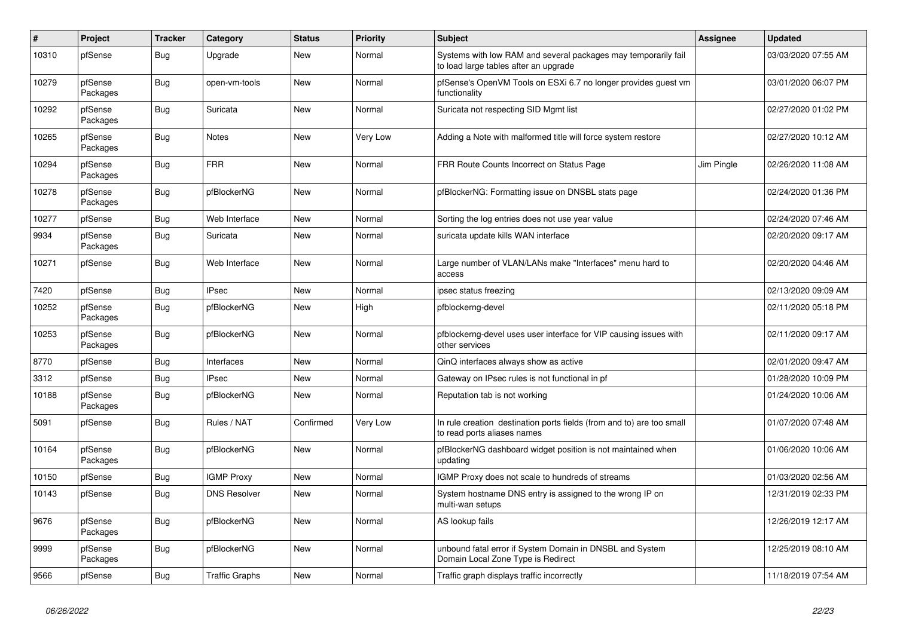| $\sharp$ | Project             | <b>Tracker</b> | Category              | <b>Status</b> | Priority | <b>Subject</b>                                                                                          | <b>Assignee</b> | <b>Updated</b>      |
|----------|---------------------|----------------|-----------------------|---------------|----------|---------------------------------------------------------------------------------------------------------|-----------------|---------------------|
| 10310    | pfSense             | Bug            | Upgrade               | New           | Normal   | Systems with low RAM and several packages may temporarily fail<br>to load large tables after an upgrade |                 | 03/03/2020 07:55 AM |
| 10279    | pfSense<br>Packages | Bug            | open-vm-tools         | New           | Normal   | pfSense's OpenVM Tools on ESXi 6.7 no longer provides guest vm<br>functionality                         |                 | 03/01/2020 06:07 PM |
| 10292    | pfSense<br>Packages | Bug            | Suricata              | <b>New</b>    | Normal   | Suricata not respecting SID Mgmt list                                                                   |                 | 02/27/2020 01:02 PM |
| 10265    | pfSense<br>Packages | <b>Bug</b>     | Notes                 | New           | Very Low | Adding a Note with malformed title will force system restore                                            |                 | 02/27/2020 10:12 AM |
| 10294    | pfSense<br>Packages | Bug            | FRR                   | New           | Normal   | FRR Route Counts Incorrect on Status Page                                                               | Jim Pingle      | 02/26/2020 11:08 AM |
| 10278    | pfSense<br>Packages | <b>Bug</b>     | pfBlockerNG           | New           | Normal   | pfBlockerNG: Formatting issue on DNSBL stats page                                                       |                 | 02/24/2020 01:36 PM |
| 10277    | pfSense             | <b>Bug</b>     | Web Interface         | <b>New</b>    | Normal   | Sorting the log entries does not use year value                                                         |                 | 02/24/2020 07:46 AM |
| 9934     | pfSense<br>Packages | <b>Bug</b>     | Suricata              | <b>New</b>    | Normal   | suricata update kills WAN interface                                                                     |                 | 02/20/2020 09:17 AM |
| 10271    | pfSense             | Bug            | Web Interface         | New           | Normal   | Large number of VLAN/LANs make "Interfaces" menu hard to<br>access                                      |                 | 02/20/2020 04:46 AM |
| 7420     | pfSense             | <b>Bug</b>     | <b>IPsec</b>          | New           | Normal   | ipsec status freezing                                                                                   |                 | 02/13/2020 09:09 AM |
| 10252    | pfSense<br>Packages | Bug            | pfBlockerNG           | New           | High     | pfblockerng-devel                                                                                       |                 | 02/11/2020 05:18 PM |
| 10253    | pfSense<br>Packages | Bug            | pfBlockerNG           | New           | Normal   | pfblockerng-devel uses user interface for VIP causing issues with<br>other services                     |                 | 02/11/2020 09:17 AM |
| 8770     | pfSense             | Bug            | Interfaces            | <b>New</b>    | Normal   | QinQ interfaces always show as active                                                                   |                 | 02/01/2020 09:47 AM |
| 3312     | pfSense             | <b>Bug</b>     | <b>IPsec</b>          | <b>New</b>    | Normal   | Gateway on IPsec rules is not functional in pf                                                          |                 | 01/28/2020 10:09 PM |
| 10188    | pfSense<br>Packages | <b>Bug</b>     | pfBlockerNG           | <b>New</b>    | Normal   | Reputation tab is not working                                                                           |                 | 01/24/2020 10:06 AM |
| 5091     | pfSense             | <b>Bug</b>     | Rules / NAT           | Confirmed     | Very Low | In rule creation destination ports fields (from and to) are too small<br>to read ports aliases names    |                 | 01/07/2020 07:48 AM |
| 10164    | pfSense<br>Packages | Bug            | pfBlockerNG           | New           | Normal   | pfBlockerNG dashboard widget position is not maintained when<br>updating                                |                 | 01/06/2020 10:06 AM |
| 10150    | pfSense             | Bug            | <b>IGMP Proxy</b>     | <b>New</b>    | Normal   | IGMP Proxy does not scale to hundreds of streams                                                        |                 | 01/03/2020 02:56 AM |
| 10143    | pfSense             | <b>Bug</b>     | <b>DNS Resolver</b>   | New           | Normal   | System hostname DNS entry is assigned to the wrong IP on<br>multi-wan setups                            |                 | 12/31/2019 02:33 PM |
| 9676     | pfSense<br>Packages | Bug            | pfBlockerNG           | <b>New</b>    | Normal   | AS lookup fails                                                                                         |                 | 12/26/2019 12:17 AM |
| 9999     | pfSense<br>Packages | <b>Bug</b>     | pfBlockerNG           | New           | Normal   | unbound fatal error if System Domain in DNSBL and System<br>Domain Local Zone Type is Redirect          |                 | 12/25/2019 08:10 AM |
| 9566     | pfSense             | <b>Bug</b>     | <b>Traffic Graphs</b> | New           | Normal   | Traffic graph displays traffic incorrectly                                                              |                 | 11/18/2019 07:54 AM |